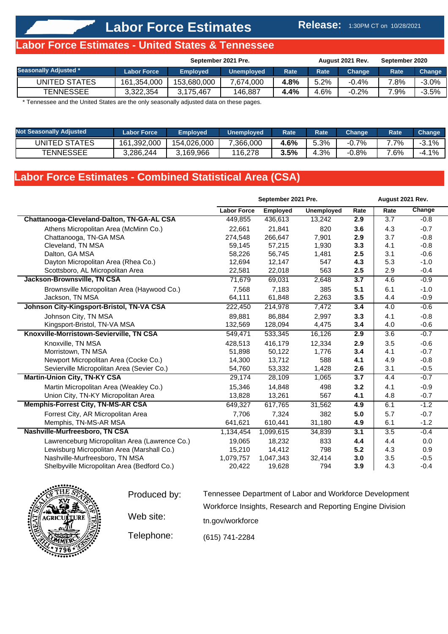#### **Release:** 1:30PM CT on 10/28/2021

#### **Labor Force Estimates - United States & Tennessee**

|                              | September 2021 Pre. |                 |                   |             |      | August 2021 Rev.    | September 2020 |         |
|------------------------------|---------------------|-----------------|-------------------|-------------|------|---------------------|----------------|---------|
| <b>Seasonally Adjusted *</b> | <b>Labor Force</b>  | <b>Employed</b> | <b>Unemployed</b> | <b>Rate</b> | Rate | Change <sup>।</sup> | Rate           | Change  |
| UNITED STATES                | 161,354,000         | 153.680.000     | 7.674.000         | 4.8%        | 5.2% | -0.4%               | 7.8%           | $-3.0%$ |
| <b>TENNESSEE</b>             | 3.322.354           | 3.175.467       | 146.887           | 4.4%        | 4.6% | $-0.2%$             | 7.9%           | $-3.5%$ |

\* Tennessee and the United States are the only seasonally adjusted data on these pages.

| <b>Not Seasonally Adiusted</b> | <b>Labor Force</b> | <b>Employed</b> | <b>Unemployed</b> | Rate | <b>Rate</b> | <b>Change</b> | <b>Rate</b> | <b>Change</b> |
|--------------------------------|--------------------|-----------------|-------------------|------|-------------|---------------|-------------|---------------|
| UNITED STATES                  | 161.392.000        | 154.026.000     | 7,366,000         | 4.6% | 5.3%        | -0.7%         | $7\%$       | $-3.1\%$      |
| <b>TENNESSEE</b>               | 3.286.244          | 3,169,966       | 116.278           | 3.5% | 4.3%        | -0.8%         | $.6\%$      | $-4.1\%$      |

## **Labor Force Estimates - Combined Statistical Area (CSA)**

|                                               |                    | September 2021 Pre. |            |      | August 2021 Rev. |        |
|-----------------------------------------------|--------------------|---------------------|------------|------|------------------|--------|
|                                               | <b>Labor Force</b> | <b>Employed</b>     | Unemployed | Rate | Rate             | Change |
| Chattanooga-Cleveland-Dalton, TN-GA-AL CSA    | 449.855            | 436.613             | 13,242     | 2.9  | 3.7              | $-0.8$ |
| Athens Micropolitan Area (McMinn Co.)         | 22.661             | 21.841              | 820        | 3.6  | 4.3              | $-0.7$ |
| Chattanooga, TN-GA MSA                        | 274,548            | 266,647             | 7,901      | 2.9  | 3.7              | $-0.8$ |
| Cleveland, TN MSA                             | 59,145             | 57,215              | 1,930      | 3.3  | 4.1              | $-0.8$ |
| Dalton, GA MSA                                | 58,226             | 56,745              | 1,481      | 2.5  | 3.1              | $-0.6$ |
| Dayton Micropolitan Area (Rhea Co.)           | 12,694             | 12,147              | 547        | 4.3  | 5.3              | $-1.0$ |
| Scottsboro, AL Micropolitan Area              | 22,581             | 22,018              | 563        | 2.5  | 2.9              | $-0.4$ |
| Jackson-Brownsville, TN CSA                   | 71,679             | 69,031              | 2,648      | 3.7  | 4.6              | $-0.9$ |
| Brownsville Micropolitan Area (Haywood Co.)   | 7,568              | 7,183               | 385        | 5.1  | 6.1              | $-1.0$ |
| Jackson, TN MSA                               | 64,111             | 61,848              | 2,263      | 3.5  | 4.4              | $-0.9$ |
| Johnson City-Kingsport-Bristol, TN-VA CSA     | 222,450            | 214,978             | 7,472      | 3.4  | 4.0              | $-0.6$ |
| Johnson City, TN MSA                          | 89,881             | 86,884              | 2,997      | 3.3  | 4.1              | $-0.8$ |
| Kingsport-Bristol, TN-VA MSA                  | 132,569            | 128,094             | 4,475      | 3.4  | 4.0              | $-0.6$ |
| Knoxville-Morristown-Sevierville, TN CSA      | 549,471            | 533,345             | 16,126     | 2.9  | 3.6              | $-0.7$ |
| Knoxville, TN MSA                             | 428.513            | 416.179             | 12.334     | 2.9  | 3.5              | $-0.6$ |
| Morristown, TN MSA                            | 51,898             | 50,122              | 1,776      | 3.4  | 4.1              | $-0.7$ |
| Newport Micropolitan Area (Cocke Co.)         | 14,300             | 13,712              | 588        | 4.1  | 4.9              | $-0.8$ |
| Sevierville Micropolitan Area (Sevier Co.)    | 54,760             | 53,332              | 1,428      | 2.6  | 3.1              | $-0.5$ |
| <b>Martin-Union City, TN-KY CSA</b>           | 29,174             | 28,109              | 1,065      | 3.7  | 4.4              | $-0.7$ |
| Martin Micropolitan Area (Weakley Co.)        | 15,346             | 14,848              | 498        | 3.2  | 4.1              | $-0.9$ |
| Union City, TN-KY Micropolitan Area           | 13,828             | 13,261              | 567        | 4.1  | 4.8              | $-0.7$ |
| <b>Memphis-Forrest City, TN-MS-AR CSA</b>     | 649,327            | 617,765             | 31,562     | 4.9  | 6.1              | $-1.2$ |
| Forrest City, AR Micropolitan Area            | 7,706              | 7,324               | 382        | 5.0  | 5.7              | $-0.7$ |
| Memphis, TN-MS-AR MSA                         | 641,621            | 610,441             | 31,180     | 4.9  | 6.1              | $-1.2$ |
| Nashville-Murfreesboro, TN CSA                | 1,134,454          | 1,099,615           | 34,839     | 3.1  | $\overline{3.5}$ | $-0.4$ |
| Lawrenceburg Micropolitan Area (Lawrence Co.) | 19,065             | 18,232              | 833        | 4.4  | 4.4              | 0.0    |
| Lewisburg Micropolitan Area (Marshall Co.)    | 15,210             | 14,412              | 798        | 5.2  | 4.3              | 0.9    |
| Nashville-Murfreesboro, TN MSA                | 1,079,757          | 1,047,343           | 32,414     | 3.0  | 3.5              | $-0.5$ |
| Shelbyville Micropolitan Area (Bedford Co.)   | 20,422             | 19,628              | 794        | 3.9  | 4.3              | $-0.4$ |



| Produced by: | Tennessee Department of Labor and Workforce Development    |  |  |  |  |  |  |  |  |
|--------------|------------------------------------------------------------|--|--|--|--|--|--|--|--|
|              | Workforce Insights, Research and Reporting Engine Division |  |  |  |  |  |  |  |  |
| Web site:    | tn.gov/workforce                                           |  |  |  |  |  |  |  |  |
| Telephone:   | (615) 741-2284                                             |  |  |  |  |  |  |  |  |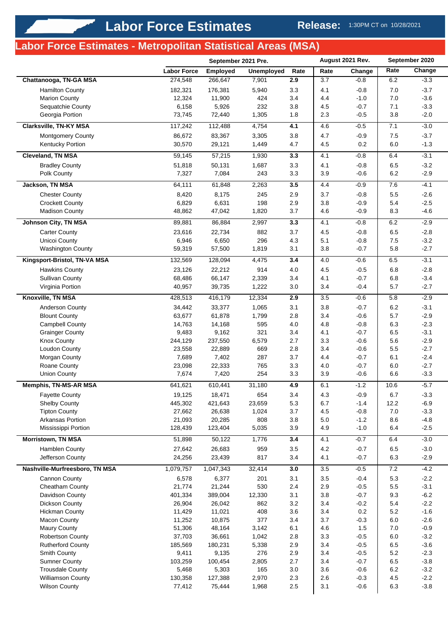# **Labor Force Estimates - Metropolitan Statistical Areas (MSA)**

|                                         |                    | September 2021 Pre. |                   | August 2021 Rev. |            | September 2020 |            |                  |
|-----------------------------------------|--------------------|---------------------|-------------------|------------------|------------|----------------|------------|------------------|
|                                         | <b>Labor Force</b> | Employed            | <b>Unemployed</b> | Rate             | Rate       | Change         | Rate       | Change           |
| Chattanooga, TN-GA MSA                  | 274,548            | 266,647             | 7,901             | 2.9              | 3.7        | $-0.8$         | 6.2        | $-3.3$           |
| <b>Hamilton County</b>                  | 182,321            | 176,381             | 5,940             | 3.3              | 4.1        | $-0.8$         | 7.0        | $-3.7$           |
| <b>Marion County</b>                    | 12,324             | 11,900              | 424               | 3.4              | 4.4        | $-1.0$         | $7.0$      | $-3.6$           |
| Sequatchie County                       | 6,158              | 5,926               | 232               | 3.8              | 4.5        | $-0.7$         | 7.1        | $-3.3$           |
| Georgia Portion                         | 73,745             | 72,440              | 1,305             | 1.8              | 2.3        | $-0.5$         | 3.8        | $-2.0$           |
| Clarksville, TN-KY MSA                  | 117,242            | 112,488             | 4,754             | 4.1              | 4.6        | $-0.5$         | 7.1        | $-3.0$           |
| <b>Montgomery County</b>                | 86,672             | 83,367              | 3,305             | 3.8              | 4.7        | $-0.9$         | 7.5        | $-3.7$           |
| Kentucky Portion                        | 30,570             | 29,121              | 1,449             | 4.7              | 4.5        | 0.2            | 6.0        | $-1.3$           |
| <b>Cleveland, TN MSA</b>                | 59,145             | 57,215              | 1,930             | 3.3              | 4.1        | $-0.8$         | 6.4        | $-3.1$           |
| <b>Bradley County</b>                   | 51,818             | 50,131              | 1,687             | 3.3              | 4.1        | $-0.8$         | 6.5        | $-3.2$           |
| Polk County                             | 7,327              | 7,084               | 243               | 3.3              | 3.9        | $-0.6$         | 6.2        | $-2.9$           |
| Jackson, TN MSA                         | 64,111             | 61,848              | 2,263             | 3.5              | 4.4        | $-0.9$         | 7.6        | $-4.1$           |
| <b>Chester County</b>                   | 8,420              | 8,175               | 245               | 2.9              | 3.7        | $-0.8$         | 5.5        | $-2.6$           |
| <b>Crockett County</b>                  | 6,829              | 6,631               | 198               | 2.9              | 3.8        | $-0.9$         | 5.4        | $-2.5$           |
| <b>Madison County</b>                   | 48,862             | 47,042              | 1,820             | 3.7              | 4.6        | $-0.9$         | 8.3        | $-4.6$           |
| <b>Johnson City, TN MSA</b>             | 89,881             | 86,884              | 2,997             | 3.3              | 4.1        | $-0.8$         | 6.2        | $-2.9$           |
| <b>Carter County</b>                    | 23,616             | 22,734              | 882               | 3.7              | 4.5        | $-0.8$         | 6.5        | $-2.8$           |
| Unicoi County                           | 6,946              | 6,650               | 296               | 4.3              | 5.1        | $-0.8$         | 7.5        | $-3.2$           |
| Washington County                       | 59,319             | 57,500              | 1,819             | 3.1              | 3.8        | $-0.7$         | 5.8        | $-2.7$           |
| Kingsport-Bristol, TN-VA MSA            | 132,569            | 128,094             | 4,475             | 3.4              | 4.0        | $-0.6$         | 6.5        | $-3.1$           |
| <b>Hawkins County</b>                   | 23,126             | 22,212              | 914               | 4.0              | 4.5        | $-0.5$         | 6.8        | $-2.8$           |
| <b>Sullivan County</b>                  | 68,486             | 66,147              | 2,339             | 3.4              | 4.1        | $-0.7$         | 6.8        | $-3.4$           |
| Virginia Portion                        | 40,957             | 39,735              | 1,222             | 3.0              | 3.4        | $-0.4$         | 5.7        | $-2.7$           |
| Knoxville, TN MSA                       | 428,513            | 416,179             | 12,334            | 2.9              | 3.5        | $-0.6$         | 5.8        | $-2.9$           |
| <b>Anderson County</b>                  | 34,442             | 33,377              | 1,065             | 3.1              | 3.8        | $-0.7$         | 6.2        | $-3.1$           |
| <b>Blount County</b>                    | 63,677             | 61,878              | 1,799             | 2.8              | 3.4        | $-0.6$         | 5.7        | $-2.9$           |
| <b>Campbell County</b>                  | 14,763             | 14,168              | 595               | 4.0              | 4.8        | $-0.8$         | 6.3        | $-2.3$           |
| <b>Grainger County</b>                  | 9,483              | 9,162               | 321               | 3.4              | 4.1        | $-0.7$         | 6.5        | $-3.1$           |
| <b>Knox County</b>                      | 244,129            | 237,550             | 6,579             | 2.7              | 3.3        | $-0.6$         | 5.6        | $-2.9$           |
| Loudon County                           | 23,558             | 22,889              | 669               | 2.8              | 3.4        | $-0.6$         | 5.5        | $-2.7$           |
| Morgan County                           | 7,689              | 7,402               | 287               | 3.7              | 4.4        | $-0.7$         | 6.1        | $-2.4$           |
| Roane County                            | 23,098             | 22,333              | 765               | 3.3              | 4.0        | $-0.7$         | 6.0        | $-2.7$           |
| <b>Union County</b>                     | 7,674              | 7,420               | 254               | 3.3              | 3.9        | $-0.6$         | 6.6        | $-3.3$           |
| <b>Memphis, TN-MS-AR MSA</b>            | 641,621            | 610,441             | 31,180            | 4.9              | 6.1        | $-1.2$         | 10.6       | $-5.7$           |
| Fayette County                          | 19,125             | 18,471              | 654               | 3.4              | 4.3        | $-0.9$         | 6.7        | $-3.3$           |
| Shelby County                           | 445,302            | 421,643             | 23,659            | 5.3              | 6.7        | $-1.4$         | 12.2       | $-6.9$           |
| <b>Tipton County</b>                    | 27,662             | 26,638              | 1,024             | 3.7              | 4.5        | $-0.8$         | $7.0$      | $-3.3$           |
| Arkansas Portion                        | 21,093             | 20,285              | 808               | 3.8              | 5.0        | $-1.2$         | 8.6        | $-4.8$           |
| Mississippi Portion                     | 128,439            | 123,404             | 5,035             | 3.9              | 4.9        | $-1.0$         | 6.4        | $-2.5$           |
| <b>Morristown, TN MSA</b>               | 51,898             | 50,122              | 1,776             | 3.4              | 4.1        | $-0.7$         | 6.4        | $-3.0$           |
| Hamblen County                          | 27,642             | 26,683              | 959               | 3.5              | 4.2        | $-0.7$         | 6.5        | $-3.0$           |
| Jefferson County                        | 24,256             | 23,439              | 817               | 3.4              | 4.1        | $-0.7$         | 6.3        | $-2.9$           |
| Nashville-Murfreesboro, TN MSA          | 1,079,757          | 1,047,343           | 32,414            | 3.0              | 3.5        | $-0.5$         | 7.2        | $-4.2$           |
| Cannon County                           | 6,578              | 6,377               | 201               | 3.1              | 3.5        | $-0.4$         | 5.3        | $-2.2$           |
| Cheatham County                         | 21,774             | 21,244              | 530               | 2.4              | 2.9        | $-0.5$         | 5.5        | $-3.1$           |
| Davidson County                         | 401,334            | 389,004             | 12,330            | 3.1              | 3.8        | $-0.7$         | 9.3        | $-6.2$           |
| Dickson County                          | 26,904             | 26,042              | 862               | 3.2              | 3.4        | $-0.2$         | 5.4        | $-2.2$           |
| <b>Hickman County</b>                   | 11,429             | 11,021              | 408               | 3.6              | 3.4        | 0.2            | 5.2        | $-1.6$           |
| <b>Macon County</b>                     | 11,252             | 10,875<br>48,164    | 377               | 3.4<br>6.1       | 3.7<br>4.6 | $-0.3$<br>1.5  | 6.0<br>7.0 | $-2.6$<br>$-0.9$ |
| <b>Maury County</b><br>Robertson County | 51,306<br>37,703   | 36,661              | 3,142<br>1,042    | 2.8              | 3.3        | $-0.5$         | 6.0        | $-3.2$           |
| <b>Rutherford County</b>                | 185,569            | 180,231             | 5,338             | 2.9              | 3.4        | $-0.5$         | 6.5        | $-3.6$           |
| Smith County                            | 9,411              | 9,135               | 276               | 2.9              | 3.4        | $-0.5$         | 5.2        | $-2.3$           |
| <b>Sumner County</b>                    | 103,259            | 100,454             | 2,805             | 2.7              | 3.4        | $-0.7$         | 6.5        | $-3.8$           |
| <b>Trousdale County</b>                 | 5,468              | 5,303               | 165               | 3.0              | 3.6        | $-0.6$         | 6.2        | $-3.2$           |
| <b>Williamson County</b>                | 130,358            | 127,388             | 2,970             | 2.3              | 2.6        | $-0.3$         | 4.5        | $-2.2$           |
| <b>Wilson County</b>                    | 77,412             | 75,444              | 1,968             | 2.5              | 3.1        | $-0.6$         | 6.3        | $-3.8$           |
|                                         |                    |                     |                   |                  |            |                |            |                  |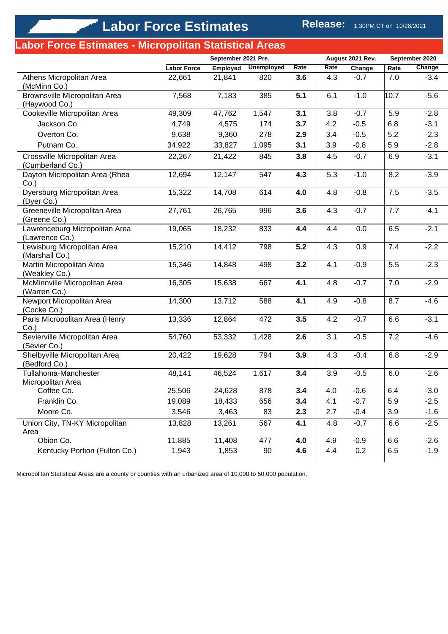# **Labor Force Estimates - Micropolitan Statistical Areas**

|                                                  |                    | September 2021 Pre. |                   |      | August 2021 Rev. |        | September 2020 |        |
|--------------------------------------------------|--------------------|---------------------|-------------------|------|------------------|--------|----------------|--------|
|                                                  | <b>Labor Force</b> | Employed            | <b>Unemployed</b> | Rate | Rate             | Change | Rate           | Change |
| Athens Micropolitan Area<br>(McMinn Co.)         | 22,661             | 21,841              | 820               | 3.6  | 4.3              | $-0.7$ | 7.0            | $-3.4$ |
| Brownsville Micropolitan Area<br>(Haywood Co.)   | 7,568              | 7,183               | 385               | 5.1  | 6.1              | $-1.0$ | 10.7           | $-5.6$ |
| Cookeville Micropolitan Area                     | 49,309             | 47,762              | 1,547             | 3.1  | 3.8              | $-0.7$ | 5.9            | $-2.8$ |
| Jackson Co.                                      | 4,749              | 4,575               | 174               | 3.7  | 4.2              | $-0.5$ | 6.8            | $-3.1$ |
| Overton Co.                                      | 9,638              | 9,360               | 278               | 2.9  | 3.4              | $-0.5$ | 5.2            | $-2.3$ |
| Putnam Co.                                       | 34,922             | 33,827              | 1,095             | 3.1  | 3.9              | $-0.8$ | 5.9            | $-2.8$ |
| Crossville Micropolitan Area<br>(Cumberland Co.) | 22,267             | 21,422              | 845               | 3.8  | 4.5              | $-0.7$ | 6.9            | $-3.1$ |
| Dayton Micropolitan Area (Rhea<br>$Co.$ )        | 12,694             | 12,147              | 547               | 4.3  | 5.3              | $-1.0$ | 8.2            | $-3.9$ |
| Dyersburg Micropolitan Area<br>(Dyer Co.)        | 15,322             | 14,708              | 614               | 4.0  | 4.8              | $-0.8$ | 7.5            | $-3.5$ |
| Greeneville Micropolitan Area<br>(Greene Co.)    | 27,761             | 26,765              | 996               | 3.6  | 4.3              | $-0.7$ | 7.7            | $-4.1$ |
| Lawrenceburg Micropolitan Area<br>(Lawrence Co.) | 19,065             | 18,232              | 833               | 4.4  | 4.4              | 0.0    | 6.5            | $-2.1$ |
| Lewisburg Micropolitan Area<br>(Marshall Co.)    | 15,210             | 14,412              | 798               | 5.2  | 4.3              | 0.9    | 7.4            | $-2.2$ |
| Martin Micropolitan Area<br>(Weakley Co.)        | 15,346             | 14,848              | 498               | 3.2  | 4.1              | $-0.9$ | 5.5            | $-2.3$ |
| McMinnville Micropolitan Area<br>(Warren Co.)    | 16,305             | 15,638              | 667               | 4.1  | 4.8              | $-0.7$ | 7.0            | $-2.9$ |
| Newport Micropolitan Area<br>(Cocke Co.)         | 14,300             | 13,712              | 588               | 4.1  | 4.9              | $-0.8$ | 8.7            | $-4.6$ |
| Paris Micropolitan Area (Henry<br>$Co.$ )        | 13,336             | 12,864              | 472               | 3.5  | 4.2              | $-0.7$ | 6.6            | $-3.1$ |
| Sevierville Micropolitan Area<br>(Sevier Co.)    | 54,760             | 53,332              | 1,428             | 2.6  | 3.1              | $-0.5$ | 7.2            | $-4.6$ |
| Shelbyville Micropolitan Area<br>(Bedford Co.)   | 20,422             | 19,628              | 794               | 3.9  | 4.3              | $-0.4$ | 6.8            | $-2.9$ |
| Tullahoma-Manchester<br>Micropolitan Area        | 48,141             | 46,524              | 1,617             | 3.4  | 3.9              | $-0.5$ | 6.0            | $-2.6$ |
| Coffee Co.                                       | 25,506             | 24,628              | 878               | 3.4  | 4.0              | $-0.6$ | 6.4            | $-3.0$ |
| Franklin Co.                                     | 19,089             | 18,433              | 656               | 3.4  | 4.1              | $-0.7$ | 5.9            | $-2.5$ |
| Moore Co.                                        | 3,546              | 3,463               | 83                | 2.3  | 2.7              | $-0.4$ | 3.9            | $-1.6$ |
| Union City, TN-KY Micropolitan<br>Area           | 13,828             | 13,261              | 567               | 4.1  | 4.8              | $-0.7$ | 6.6            | $-2.5$ |
| Obion Co.                                        | 11,885             | 11,408              | 477               | 4.0  | 4.9              | $-0.9$ | 6.6            | $-2.6$ |
| Kentucky Portion (Fulton Co.)                    | 1,943              | 1,853               | 90                | 4.6  | 4.4              | 0.2    | 6.5            | $-1.9$ |

Micropolitan Statistical Areas are a county or counties with an urbanized area of 10,000 to 50,000 population.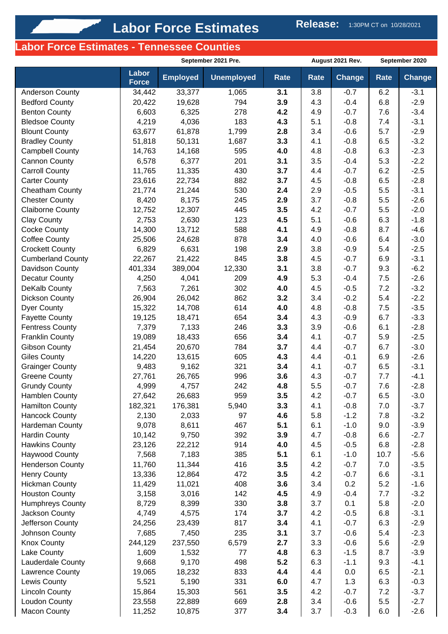# **Labor Force Estimates - Tennessee Counties**

|                          |                       | September 2021 Pre. |                   |             | August 2021 Rev. |               | September 2020 |                  |
|--------------------------|-----------------------|---------------------|-------------------|-------------|------------------|---------------|----------------|------------------|
|                          | Labor<br><b>Force</b> | <b>Employed</b>     | <b>Unemployed</b> | <b>Rate</b> | Rate             | <b>Change</b> | <b>Rate</b>    | <b>Change</b>    |
| Anderson County          | 34,442                | 33,377              | 1,065             | 3.1         | 3.8              | $-0.7$        | 6.2            | $-3.1$           |
| <b>Bedford County</b>    | 20,422                | 19,628              | 794               | 3.9         | 4.3              | $-0.4$        | 6.8            | $-2.9$           |
| <b>Benton County</b>     | 6,603                 | 6,325               | 278               | 4.2         | 4.9              | $-0.7$        | 7.6            | $-3.4$           |
| <b>Bledsoe County</b>    | 4,219                 | 4,036               | 183               | 4.3         | 5.1              | $-0.8$        | 7.4            | $-3.1$           |
| <b>Blount County</b>     | 63,677                | 61,878              | 1,799             | 2.8         | 3.4              | $-0.6$        | 5.7            | $-2.9$           |
| <b>Bradley County</b>    | 51,818                | 50,131              | 1,687             | 3.3         | 4.1              | $-0.8$        | 6.5            | $-3.2$           |
| Campbell County          | 14,763                | 14,168              | 595               | 4.0         | 4.8              | $-0.8$        | 6.3            | $-2.3$           |
| Cannon County            | 6,578                 | 6,377               | 201               | 3.1         | 3.5              | $-0.4$        | 5.3            | $-2.2$           |
| <b>Carroll County</b>    | 11,765                | 11,335              | 430               | 3.7         | 4.4              | $-0.7$        | 6.2            | $-2.5$           |
| <b>Carter County</b>     | 23,616                | 22,734              | 882               | 3.7         | 4.5              | $-0.8$        | 6.5            | $-2.8$           |
| Cheatham County          | 21,774                | 21,244              | 530               | 2.4         | 2.9              | $-0.5$        | 5.5            | $-3.1$           |
| <b>Chester County</b>    | 8,420                 | 8,175               | 245               | 2.9         | 3.7              | $-0.8$        | 5.5            | $-2.6$           |
| <b>Claiborne County</b>  | 12,752                | 12,307              | 445               | 3.5         | 4.2              | $-0.7$        | 5.5            | $-2.0$           |
| <b>Clay County</b>       | 2,753                 | 2,630               | 123               | 4.5         | 5.1              | $-0.6$        | 6.3            | $-1.8$           |
| <b>Cocke County</b>      | 14,300                | 13,712              | 588               | 4.1         | 4.9              | $-0.8$        | 8.7            | $-4.6$           |
| <b>Coffee County</b>     | 25,506                | 24,628              | 878               | 3.4         | 4.0              | $-0.6$        | 6.4            | $-3.0$           |
| <b>Crockett County</b>   | 6,829                 | 6,631               | 198               | 2.9         | 3.8              | $-0.9$        | 5.4            | $-2.5$           |
| <b>Cumberland County</b> | 22,267                | 21,422              | 845               | 3.8         | 4.5              | $-0.7$        | 6.9            | $-3.1$           |
| Davidson County          | 401,334               | 389,004             | 12,330            | 3.1         | 3.8              | $-0.7$        | 9.3            | $-6.2$           |
| <b>Decatur County</b>    | 4,250                 | 4,041               | 209               | 4.9         | 5.3              | $-0.4$        | 7.5            | $-2.6$           |
| DeKalb County            | 7,563                 | 7,261               | 302               | 4.0         | 4.5              | $-0.5$        | 7.2            | $-3.2$           |
| Dickson County           | 26,904                | 26,042              | 862               | 3.2         | 3.4              | $-0.2$        | 5.4            | $-2.2$           |
| Dyer County              | 15,322                | 14,708              | 614               | 4.0         | 4.8              | $-0.8$        | 7.5            | $-3.5$           |
| <b>Fayette County</b>    | 19,125                | 18,471              | 654               | 3.4         | 4.3              | $-0.9$        | 6.7            | $-3.3$           |
| <b>Fentress County</b>   | 7,379                 | 7,133               | 246               | 3.3         | 3.9              | $-0.6$        | 6.1            | $-2.8$           |
| <b>Franklin County</b>   | 19,089                | 18,433              | 656               | 3.4         | 4.1              | $-0.7$        | 5.9            | $-2.5$           |
| <b>Gibson County</b>     | 21,454                | 20,670              | 784               | 3.7         | 4.4              | $-0.7$        | 6.7            | $-3.0$           |
| <b>Giles County</b>      | 14,220                | 13,615              | 605               | 4.3         | 4.4              | $-0.1$        | 6.9            | $-2.6$           |
| <b>Grainger County</b>   | 9,483                 | 9,162               | 321               | 3.4         | 4.1              | $-0.7$        | 6.5            | $-3.1$           |
| <b>Greene County</b>     | 27,761                | 26,765              | 996               | 3.6         | 4.3              | $-0.7$        | 7.7            | $-4.1$           |
| <b>Grundy County</b>     | 4,999                 | 4,757               | 242               | 4.8         | 5.5              | $-0.7$        | 7.6            | $-2.8$           |
| Hamblen County           | 27,642                | 26,683              | 959               | 3.5         | 4.2              | $-0.7$        | 6.5            | $-3.0$           |
| <b>Hamilton County</b>   | 182,321               | 176,381             | 5,940             | 3.3         | 4.1              | $-0.8$        | 7.0            | $-3.7$           |
| <b>Hancock County</b>    | 2,130                 | 2,033               | 97                | 4.6         | 5.8              | $-1.2$        | 7.8            | $-3.2$           |
| Hardeman County          | 9,078                 | 8,611               | 467               | 5.1         | 6.1              | $-1.0$        | 9.0            | $-3.9$           |
| <b>Hardin County</b>     | 10,142                | 9,750               | 392               | 3.9         | 4.7              | $-0.8$        | 6.6            | $-2.7$           |
| <b>Hawkins County</b>    | 23,126                | 22,212              | 914               | 4.0         | 4.5              | $-0.5$        | 6.8            | $-2.8$           |
| <b>Haywood County</b>    | 7,568                 | 7,183               | 385               | 5.1         | 6.1              | $-1.0$        | 10.7           | $-5.6$           |
| <b>Henderson County</b>  | 11,760                | 11,344              | 416               | 3.5         | 4.2              | $-0.7$        | 7.0            | $-3.5$           |
| Henry County             | 13,336                | 12,864              | 472               | 3.5         | 4.2              | $-0.7$        | 6.6            | $-3.1$           |
| <b>Hickman County</b>    | 11,429                | 11,021              | 408               | 3.6         | 3.4              | 0.2           | 5.2            | $-1.6$           |
| <b>Houston County</b>    | 3,158                 | 3,016               | 142               | 4.5         | 4.9              | $-0.4$        | 7.7            | $-3.2$           |
| <b>Humphreys County</b>  | 8,729                 | 8,399               | 330               | 3.8         | 3.7              | 0.1           | 5.8            | $-2.0$           |
| Jackson County           | 4,749                 | 4,575               | 174               | 3.7         | 4.2              | $-0.5$        | 6.8            | $-3.1$           |
| Jefferson County         | 24,256                | 23,439              | 817               | 3.4         | 4.1              | $-0.7$        | 6.3            | $-2.9$           |
| Johnson County           | 7,685                 | 7,450               | 235               | 3.1         | 3.7              | $-0.6$        | 5.4            | $-2.3$           |
| <b>Knox County</b>       | 244,129               | 237,550             | 6,579             | 2.7         | 3.3              | $-0.6$        | 5.6            | $-2.9$           |
| Lake County              | 1,609                 | 1,532               | 77                | 4.8         | 6.3              | $-1.5$        | 8.7            | $-3.9$           |
| Lauderdale County        | 9,668                 | 9,170               | 498               | 5.2         | 6.3              | $-1.1$        | 9.3            | $-4.1$           |
| Lawrence County          | 19,065                | 18,232              | 833               | 4.4         | 4.4              | 0.0           | 6.5            | $-2.1$           |
| Lewis County             | 5,521                 | 5,190               | 331               | 6.0         | 4.7<br>4.2       | 1.3<br>$-0.7$ | 6.3<br>7.2     | $-0.3$           |
| <b>Lincoln County</b>    | 15,864                | 15,303              | 561<br>669        | 3.5         |                  | $-0.6$        |                | $-3.7$<br>$-2.7$ |
| Loudon County            | 23,558                | 22,889              |                   | 2.8         | 3.4              |               | 5.5            |                  |
| <b>Macon County</b>      | 11,252                | 10,875              | 377               | 3.4         | 3.7              | $-0.3$        | 6.0            | $-2.6$           |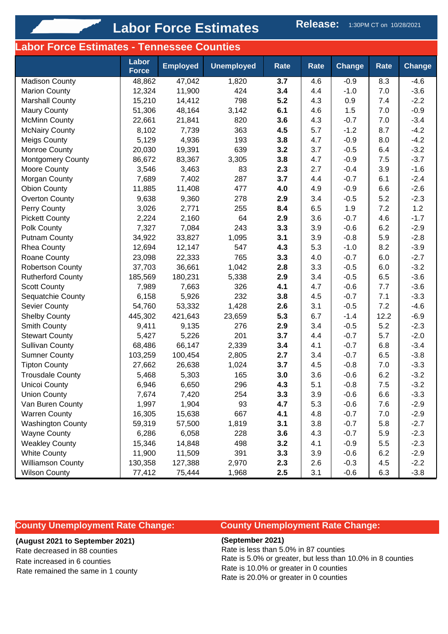#### **Labor Force Estimates - Tennessee Counties**

|                          | Labor<br><b>Force</b> | <b>Employed</b> | <b>Unemployed</b> | <b>Rate</b> | <b>Rate</b> | <b>Change</b> | Rate | <b>Change</b> |
|--------------------------|-----------------------|-----------------|-------------------|-------------|-------------|---------------|------|---------------|
| <b>Madison County</b>    | 48,862                | 47,042          | 1,820             | 3.7         | 4.6         | $-0.9$        | 8.3  | $-4.6$        |
| <b>Marion County</b>     | 12,324                | 11,900          | 424               | 3.4         | 4.4         | $-1.0$        | 7.0  | $-3.6$        |
| <b>Marshall County</b>   | 15,210                | 14,412          | 798               | 5.2         | 4.3         | 0.9           | 7.4  | $-2.2$        |
| <b>Maury County</b>      | 51,306                | 48,164          | 3,142             | 6.1         | 4.6         | 1.5           | 7.0  | $-0.9$        |
| <b>McMinn County</b>     | 22,661                | 21,841          | 820               | 3.6         | 4.3         | $-0.7$        | 7.0  | $-3.4$        |
| <b>McNairy County</b>    | 8,102                 | 7,739           | 363               | 4.5         | 5.7         | $-1.2$        | 8.7  | $-4.2$        |
| <b>Meigs County</b>      | 5,129                 | 4,936           | 193               | 3.8         | 4.7         | $-0.9$        | 8.0  | $-4.2$        |
| Monroe County            | 20,030                | 19,391          | 639               | 3.2         | 3.7         | $-0.5$        | 6.4  | $-3.2$        |
| <b>Montgomery County</b> | 86,672                | 83,367          | 3,305             | 3.8         | 4.7         | $-0.9$        | 7.5  | $-3.7$        |
| Moore County             | 3,546                 | 3,463           | 83                | 2.3         | 2.7         | $-0.4$        | 3.9  | $-1.6$        |
| Morgan County            | 7,689                 | 7,402           | 287               | 3.7         | 4.4         | $-0.7$        | 6.1  | $-2.4$        |
| <b>Obion County</b>      | 11,885                | 11,408          | 477               | 4.0         | 4.9         | $-0.9$        | 6.6  | $-2.6$        |
| <b>Overton County</b>    | 9,638                 | 9,360           | 278               | 2.9         | 3.4         | $-0.5$        | 5.2  | $-2.3$        |
| Perry County             | 3,026                 | 2,771           | 255               | 8.4         | 6.5         | 1.9           | 7.2  | 1.2           |
| <b>Pickett County</b>    | 2,224                 | 2,160           | 64                | 2.9         | 3.6         | $-0.7$        | 4.6  | $-1.7$        |
| Polk County              | 7,327                 | 7,084           | 243               | 3.3         | 3.9         | $-0.6$        | 6.2  | $-2.9$        |
| Putnam County            | 34,922                | 33,827          | 1,095             | 3.1         | 3.9         | $-0.8$        | 5.9  | $-2.8$        |
| <b>Rhea County</b>       | 12,694                | 12,147          | 547               | 4.3         | 5.3         | $-1.0$        | 8.2  | $-3.9$        |
| Roane County             | 23,098                | 22,333          | 765               | 3.3         | 4.0         | $-0.7$        | 6.0  | $-2.7$        |
| <b>Robertson County</b>  | 37,703                | 36,661          | 1,042             | 2.8         | 3.3         | $-0.5$        | 6.0  | $-3.2$        |
| <b>Rutherford County</b> | 185,569               | 180,231         | 5,338             | 2.9         | 3.4         | $-0.5$        | 6.5  | $-3.6$        |
| <b>Scott County</b>      | 7,989                 | 7,663           | 326               | 4.1         | 4.7         | $-0.6$        | 7.7  | $-3.6$        |
| Sequatchie County        | 6,158                 | 5,926           | 232               | 3.8         | 4.5         | $-0.7$        | 7.1  | $-3.3$        |
| Sevier County            | 54,760                | 53,332          | 1,428             | 2.6         | 3.1         | $-0.5$        | 7.2  | $-4.6$        |
| <b>Shelby County</b>     | 445,302               | 421,643         | 23,659            | 5.3         | 6.7         | $-1.4$        | 12.2 | $-6.9$        |
| Smith County             | 9,411                 | 9,135           | 276               | 2.9         | 3.4         | $-0.5$        | 5.2  | $-2.3$        |
| <b>Stewart County</b>    | 5,427                 | 5,226           | 201               | 3.7         | 4.4         | $-0.7$        | 5.7  | $-2.0$        |
| <b>Sullivan County</b>   | 68,486                | 66,147          | 2,339             | 3.4         | 4.1         | $-0.7$        | 6.8  | $-3.4$        |
| <b>Sumner County</b>     | 103,259               | 100,454         | 2,805             | 2.7         | 3.4         | $-0.7$        | 6.5  | $-3.8$        |
| <b>Tipton County</b>     | 27,662                | 26,638          | 1,024             | 3.7         | 4.5         | $-0.8$        | 7.0  | $-3.3$        |
| <b>Trousdale County</b>  | 5,468                 | 5,303           | 165               | 3.0         | 3.6         | $-0.6$        | 6.2  | $-3.2$        |
| <b>Unicoi County</b>     | 6,946                 | 6,650           | 296               | 4.3         | 5.1         | $-0.8$        | 7.5  | $-3.2$        |
| Union County             | 7,674                 | 7,420           | 254               | 3.3         | 3.9         | $-0.6$        | 6.6  | $-3.3$        |
| Van Buren County         | 1,997                 | 1,904           | 93                | 4.7         | 5.3         | $-0.6$        | 7.6  | $-2.9$        |
| <b>Warren County</b>     | 16,305                | 15,638          | 667               | 4.1         | 4.8         | $-0.7$        | 7.0  | $-2.9$        |
| <b>Washington County</b> | 59,319                | 57,500          | 1,819             | 3.1         | 3.8         | $-0.7$        | 5.8  | $-2.7$        |
| <b>Wayne County</b>      | 6,286                 | 6,058           | 228               | 3.6         | 4.3         | $-0.7$        | 5.9  | $-2.3$        |
| <b>Weakley County</b>    | 15,346                | 14,848          | 498               | 3.2         | 4.1         | $-0.9$        | 5.5  | $-2.3$        |
| <b>White County</b>      | 11,900                | 11,509          | 391               | 3.3         | 3.9         | $-0.6$        | 6.2  | $-2.9$        |
| <b>Williamson County</b> | 130,358               | 127,388         | 2,970             | 2.3         | 2.6         | $-0.3$        | 4.5  | $-2.2$        |
| <b>Wilson County</b>     | 77,412                | 75,444          | 1,968             | 2.5         | 3.1         | $-0.6$        | 6.3  | $-3.8$        |

#### **County Unemployment Rate Change:**

### **(August 2021 to September 2021)**

Rate decreased in 88 counties Rate increased in 6 counties

#### Rate remained the same in 1 county

#### **County Unemployment Rate Change:**

**(September 2021)**

Rate is less than 5.0% in 87 counties Rate is 5.0% or greater, but less than 10.0% in 8 counties Rate is 10.0% or greater in 0 counties Rate is 20.0% or greater in 0 counties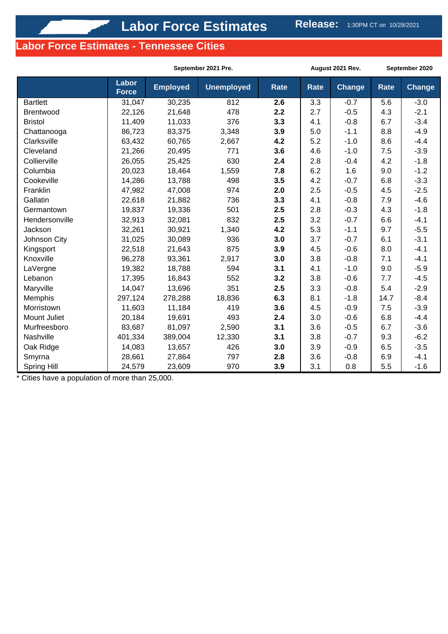### **Labor Force Estimates - Tennessee Cities**

|                    |                       | September 2021 Pre. |                   |             |             | August 2021 Rev. | September 2020 |               |
|--------------------|-----------------------|---------------------|-------------------|-------------|-------------|------------------|----------------|---------------|
|                    | Labor<br><b>Force</b> | <b>Employed</b>     | <b>Unemployed</b> | <b>Rate</b> | <b>Rate</b> | <b>Change</b>    | <b>Rate</b>    | <b>Change</b> |
| <b>Bartlett</b>    | 31,047                | 30,235              | 812               | 2.6         | 3.3         | $-0.7$           | 5.6            | $-3.0$        |
| Brentwood          | 22,126                | 21,648              | 478               | 2.2         | 2.7         | $-0.5$           | 4.3            | $-2.1$        |
| <b>Bristol</b>     | 11,409                | 11,033              | 376               | 3.3         | 4.1         | $-0.8$           | 6.7            | $-3.4$        |
| Chattanooga        | 86,723                | 83,375              | 3,348             | 3.9         | 5.0         | $-1.1$           | 8.8            | $-4.9$        |
| Clarksville        | 63,432                | 60,765              | 2,667             | 4.2         | 5.2         | $-1.0$           | 8.6            | $-4.4$        |
| Cleveland          | 21,266                | 20,495              | 771               | 3.6         | 4.6         | $-1.0$           | 7.5            | $-3.9$        |
| Collierville       | 26,055                | 25,425              | 630               | 2.4         | 2.8         | $-0.4$           | 4.2            | $-1.8$        |
| Columbia           | 20,023                | 18,464              | 1,559             | 7.8         | 6.2         | 1.6              | 9.0            | $-1.2$        |
| Cookeville         | 14,286                | 13,788              | 498               | 3.5         | 4.2         | $-0.7$           | 6.8            | $-3.3$        |
| Franklin           | 47,982                | 47,008              | 974               | 2.0         | 2.5         | $-0.5$           | 4.5            | $-2.5$        |
| Gallatin           | 22,618                | 21,882              | 736               | 3.3         | 4.1         | $-0.8$           | 7.9            | $-4.6$        |
| Germantown         | 19,837                | 19,336              | 501               | 2.5         | 2.8         | $-0.3$           | 4.3            | $-1.8$        |
| Hendersonville     | 32,913                | 32,081              | 832               | 2.5         | 3.2         | $-0.7$           | 6.6            | $-4.1$        |
| Jackson            | 32,261                | 30,921              | 1,340             | 4.2         | 5.3         | $-1.1$           | 9.7            | $-5.5$        |
| Johnson City       | 31,025                | 30,089              | 936               | 3.0         | 3.7         | $-0.7$           | 6.1            | $-3.1$        |
| Kingsport          | 22,518                | 21,643              | 875               | 3.9         | 4.5         | $-0.6$           | 8.0            | $-4.1$        |
| Knoxville          | 96,278                | 93,361              | 2,917             | 3.0         | 3.8         | $-0.8$           | 7.1            | $-4.1$        |
| LaVergne           | 19,382                | 18,788              | 594               | 3.1         | 4.1         | $-1.0$           | 9.0            | $-5.9$        |
| Lebanon            | 17,395                | 16,843              | 552               | 3.2         | 3.8         | $-0.6$           | 7.7            | $-4.5$        |
| Maryville          | 14,047                | 13,696              | 351               | 2.5         | 3.3         | $-0.8$           | 5.4            | $-2.9$        |
| Memphis            | 297,124               | 278,288             | 18,836            | 6.3         | 8.1         | $-1.8$           | 14.7           | $-8.4$        |
| Morristown         | 11,603                | 11,184              | 419               | 3.6         | 4.5         | $-0.9$           | 7.5            | $-3.9$        |
| Mount Juliet       | 20,184                | 19,691              | 493               | 2.4         | 3.0         | $-0.6$           | 6.8            | $-4.4$        |
| Murfreesboro       | 83,687                | 81,097              | 2,590             | 3.1         | 3.6         | $-0.5$           | 6.7            | $-3.6$        |
| Nashville          | 401,334               | 389,004             | 12,330            | 3.1         | 3.8         | $-0.7$           | 9.3            | $-6.2$        |
| Oak Ridge          | 14,083                | 13,657              | 426               | 3.0         | 3.9         | $-0.9$           | 6.5            | $-3.5$        |
| Smyrna             | 28,661                | 27,864              | 797               | 2.8         | 3.6         | $-0.8$           | 6.9            | $-4.1$        |
| <b>Spring Hill</b> | 24,579                | 23,609              | 970               | 3.9         | 3.1         | 0.8              | 5.5            | $-1.6$        |

\* Cities have a population of more than 25,000.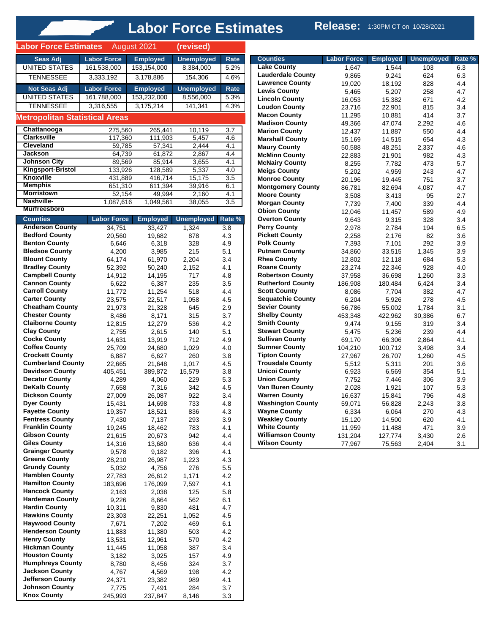| <b>Unemployed</b><br><b>Labor Force</b><br><b>Employed</b><br>Seas Adj<br>Rate<br><b>UNITED STATES</b><br>153,154,000<br>8,384,000<br>161,538,000<br>5.2%<br>154,306<br>TENNESSEE<br>3,333,192<br>3,178,886<br>4.6%<br><b>Not Seas Adj</b><br><b>Labor Force</b><br><b>Unemployed</b><br><b>Employed</b><br>Rate<br><b>UNITED STATES</b><br>161,788,000<br>153,232,000<br>8,556,000<br>5.3%<br><b>TENNESSEE</b><br>3,316,555<br>3,175,214<br>141,341<br>4.3%<br><b>Metropolitan Statistical Areas</b><br>Chattanooga<br>265,441<br>10,119<br>3.7<br>275,560<br><b>Clarksville</b><br>5,457<br>117,360<br>111,903<br>4.6<br><b>Cleveland</b><br>57,341<br>2,444<br>4.1<br>59,785<br><b>Jackson</b><br>64,739<br>61,872<br>2,867<br>4.4<br><b>Johnson City</b><br>89,569<br>85,914<br>3,655<br>4.1<br><b>Kingsport-Bristol</b><br>133,926<br>128,589<br>5,337<br>$\overline{4.0}$<br><b>Knoxville</b><br>3.5<br>431,889<br>416,714<br>15,175<br><b>Memphis</b><br>651,310<br>611,394<br>39,916<br>6.1<br><b>Morristown</b><br>52,154<br>2,160<br>49,994<br>4.1<br>Nashville-<br>1,087,616<br>1,049,561<br>3.5<br>38,055<br><b>Murfreesboro</b><br><b>Counties</b><br><b>Unemployed</b><br>Rate %<br><b>Labor Force</b><br><b>Employed</b><br><b>Anderson County</b><br>34,751<br>33,427<br>1,324<br>$\overline{3.8}$<br><b>Bedford County</b><br>4.3<br>20,560<br>19,682<br>878<br><b>Benton County</b><br>6,646<br>6,318<br>4.9<br>328<br><b>Bledsoe County</b><br>5.1<br>215<br>4,200<br>3,985<br><b>Blount County</b><br>3.4<br>64,174<br>61,970<br>2,204<br><b>Bradley County</b><br>50,240<br>2,152<br>4.1<br>52,392<br><b>Campbell County</b><br>4.8<br>14,912<br>14,195<br>717<br><b>Cannon County</b><br>6,622<br>6,387<br>235<br>3.5<br><b>Carroll County</b><br>11,772<br>11,254<br>518<br>4.4<br><b>Carter County</b><br>22,517<br>1,058<br>4.5<br>23,575<br><b>Cheatham County</b><br>21,973<br>21,328<br>645<br>2.9<br><b>Chester County</b><br>315<br>3.7<br>8,486<br>8,171<br><b>Claiborne County</b><br>4.2<br>12,815<br>12,279<br>536<br><b>Clay County</b><br>5.1<br>2,615<br>140<br>2,755<br><b>Cocke County</b><br>712<br>4.9<br>14,631<br>13,919<br><b>Coffee County</b><br>1,029<br>4.0<br>25,709<br>24,680<br><b>Crockett County</b><br>6,887<br>6,627<br>260<br>3.8<br><b>Cumberland County</b><br>21,648<br>4.5<br>22,665<br>1,017<br><b>Davidson County</b><br>405,451<br>15,579<br>3.8<br>389,872<br><b>Decatur County</b><br>5.3<br>4,289<br>4,060<br>229<br><b>DeKalb County</b><br>7,316<br>4.5<br>7,658<br>342<br><b>Dickson County</b><br>922<br>3.4<br>27,009<br>26,087<br><b>Dyer County</b><br>15,431<br>14,698<br>733<br>4.8<br><b>Fayette County</b><br>19,357<br>18,521<br>4.3<br>836<br><b>Fentress County</b><br>3.9<br>7,430<br>7,137<br>293<br><b>Franklin County</b><br>783<br>4.1<br>19,245<br>18,462<br><b>Gibson County</b><br>20,673<br>942<br>4.4<br>21,615<br><b>Giles County</b><br>4.4<br>14,316<br>13,680<br>636<br><b>Grainger County</b><br>396<br>4.1<br>9,578<br>9,182<br><b>Greene County</b><br>4.3<br>28,210<br>26,987<br>1,223<br><b>Grundy County</b><br>5,032<br>4,756<br>276<br>5.5<br><b>Hamblen County</b><br>26,612<br>1,171<br>4.2<br>27,783<br><b>Hamilton County</b><br>183,696<br>176,099<br>7,597<br>4.1<br><b>Hancock County</b><br>5.8<br>125<br>2,163<br>2,038<br><b>Hardeman County</b><br>6.1<br>9,226<br>8,664<br>562<br><b>Hardin County</b><br>4.7<br>10,311<br>9,830<br>481<br><b>Hawkins County</b><br>4.5<br>22,251<br>1,052<br>23,303<br><b>Haywood County</b><br>469<br>6.1<br>7,671<br>7,202<br><b>Henderson County</b><br>11,883<br>11,380<br>503<br>4.2<br><b>Henry County</b><br>4.2<br>13,531<br>12,961<br>570<br><b>Hickman County</b><br>3.4<br>11,445<br>11,058<br>387<br><b>Houston County</b><br>3,182<br>3,025<br>157<br>4.9<br><b>Humphreys County</b><br>8,780<br>324<br>3.7<br>8,456<br><b>Jackson County</b><br>4.2<br>4,767<br>4,569<br>198<br><b>Jefferson County</b><br>24,371<br>23,382<br>989<br>4.1<br><b>Johnson County</b><br>3.7<br>7,775<br>7,491<br>284<br><b>Knox County</b><br>237,847<br>8,146<br>3.3<br>245,993 | <b>Labor Force Estimates</b> | August 2021 | (revised) |  |
|---------------------------------------------------------------------------------------------------------------------------------------------------------------------------------------------------------------------------------------------------------------------------------------------------------------------------------------------------------------------------------------------------------------------------------------------------------------------------------------------------------------------------------------------------------------------------------------------------------------------------------------------------------------------------------------------------------------------------------------------------------------------------------------------------------------------------------------------------------------------------------------------------------------------------------------------------------------------------------------------------------------------------------------------------------------------------------------------------------------------------------------------------------------------------------------------------------------------------------------------------------------------------------------------------------------------------------------------------------------------------------------------------------------------------------------------------------------------------------------------------------------------------------------------------------------------------------------------------------------------------------------------------------------------------------------------------------------------------------------------------------------------------------------------------------------------------------------------------------------------------------------------------------------------------------------------------------------------------------------------------------------------------------------------------------------------------------------------------------------------------------------------------------------------------------------------------------------------------------------------------------------------------------------------------------------------------------------------------------------------------------------------------------------------------------------------------------------------------------------------------------------------------------------------------------------------------------------------------------------------------------------------------------------------------------------------------------------------------------------------------------------------------------------------------------------------------------------------------------------------------------------------------------------------------------------------------------------------------------------------------------------------------------------------------------------------------------------------------------------------------------------------------------------------------------------------------------------------------------------------------------------------------------------------------------------------------------------------------------------------------------------------------------------------------------------------------------------------------------------------------------------------------------------------------------------------------------------------------------------------------------------------------------------------------------------------------------------------------------------------------------------------------------------------------------------------------------------------------------------------------------------------------------------------------------------------------------------------------------------------------------------------------------------------------------------------------------------------------------------------------------|------------------------------|-------------|-----------|--|
|                                                                                                                                                                                                                                                                                                                                                                                                                                                                                                                                                                                                                                                                                                                                                                                                                                                                                                                                                                                                                                                                                                                                                                                                                                                                                                                                                                                                                                                                                                                                                                                                                                                                                                                                                                                                                                                                                                                                                                                                                                                                                                                                                                                                                                                                                                                                                                                                                                                                                                                                                                                                                                                                                                                                                                                                                                                                                                                                                                                                                                                                                                                                                                                                                                                                                                                                                                                                                                                                                                                                                                                                                                                                                                                                                                                                                                                                                                                                                                                                                                                                                                                                 |                              |             |           |  |
|                                                                                                                                                                                                                                                                                                                                                                                                                                                                                                                                                                                                                                                                                                                                                                                                                                                                                                                                                                                                                                                                                                                                                                                                                                                                                                                                                                                                                                                                                                                                                                                                                                                                                                                                                                                                                                                                                                                                                                                                                                                                                                                                                                                                                                                                                                                                                                                                                                                                                                                                                                                                                                                                                                                                                                                                                                                                                                                                                                                                                                                                                                                                                                                                                                                                                                                                                                                                                                                                                                                                                                                                                                                                                                                                                                                                                                                                                                                                                                                                                                                                                                                                 |                              |             |           |  |
|                                                                                                                                                                                                                                                                                                                                                                                                                                                                                                                                                                                                                                                                                                                                                                                                                                                                                                                                                                                                                                                                                                                                                                                                                                                                                                                                                                                                                                                                                                                                                                                                                                                                                                                                                                                                                                                                                                                                                                                                                                                                                                                                                                                                                                                                                                                                                                                                                                                                                                                                                                                                                                                                                                                                                                                                                                                                                                                                                                                                                                                                                                                                                                                                                                                                                                                                                                                                                                                                                                                                                                                                                                                                                                                                                                                                                                                                                                                                                                                                                                                                                                                                 |                              |             |           |  |
|                                                                                                                                                                                                                                                                                                                                                                                                                                                                                                                                                                                                                                                                                                                                                                                                                                                                                                                                                                                                                                                                                                                                                                                                                                                                                                                                                                                                                                                                                                                                                                                                                                                                                                                                                                                                                                                                                                                                                                                                                                                                                                                                                                                                                                                                                                                                                                                                                                                                                                                                                                                                                                                                                                                                                                                                                                                                                                                                                                                                                                                                                                                                                                                                                                                                                                                                                                                                                                                                                                                                                                                                                                                                                                                                                                                                                                                                                                                                                                                                                                                                                                                                 |                              |             |           |  |
|                                                                                                                                                                                                                                                                                                                                                                                                                                                                                                                                                                                                                                                                                                                                                                                                                                                                                                                                                                                                                                                                                                                                                                                                                                                                                                                                                                                                                                                                                                                                                                                                                                                                                                                                                                                                                                                                                                                                                                                                                                                                                                                                                                                                                                                                                                                                                                                                                                                                                                                                                                                                                                                                                                                                                                                                                                                                                                                                                                                                                                                                                                                                                                                                                                                                                                                                                                                                                                                                                                                                                                                                                                                                                                                                                                                                                                                                                                                                                                                                                                                                                                                                 |                              |             |           |  |
|                                                                                                                                                                                                                                                                                                                                                                                                                                                                                                                                                                                                                                                                                                                                                                                                                                                                                                                                                                                                                                                                                                                                                                                                                                                                                                                                                                                                                                                                                                                                                                                                                                                                                                                                                                                                                                                                                                                                                                                                                                                                                                                                                                                                                                                                                                                                                                                                                                                                                                                                                                                                                                                                                                                                                                                                                                                                                                                                                                                                                                                                                                                                                                                                                                                                                                                                                                                                                                                                                                                                                                                                                                                                                                                                                                                                                                                                                                                                                                                                                                                                                                                                 |                              |             |           |  |
|                                                                                                                                                                                                                                                                                                                                                                                                                                                                                                                                                                                                                                                                                                                                                                                                                                                                                                                                                                                                                                                                                                                                                                                                                                                                                                                                                                                                                                                                                                                                                                                                                                                                                                                                                                                                                                                                                                                                                                                                                                                                                                                                                                                                                                                                                                                                                                                                                                                                                                                                                                                                                                                                                                                                                                                                                                                                                                                                                                                                                                                                                                                                                                                                                                                                                                                                                                                                                                                                                                                                                                                                                                                                                                                                                                                                                                                                                                                                                                                                                                                                                                                                 |                              |             |           |  |
|                                                                                                                                                                                                                                                                                                                                                                                                                                                                                                                                                                                                                                                                                                                                                                                                                                                                                                                                                                                                                                                                                                                                                                                                                                                                                                                                                                                                                                                                                                                                                                                                                                                                                                                                                                                                                                                                                                                                                                                                                                                                                                                                                                                                                                                                                                                                                                                                                                                                                                                                                                                                                                                                                                                                                                                                                                                                                                                                                                                                                                                                                                                                                                                                                                                                                                                                                                                                                                                                                                                                                                                                                                                                                                                                                                                                                                                                                                                                                                                                                                                                                                                                 |                              |             |           |  |
|                                                                                                                                                                                                                                                                                                                                                                                                                                                                                                                                                                                                                                                                                                                                                                                                                                                                                                                                                                                                                                                                                                                                                                                                                                                                                                                                                                                                                                                                                                                                                                                                                                                                                                                                                                                                                                                                                                                                                                                                                                                                                                                                                                                                                                                                                                                                                                                                                                                                                                                                                                                                                                                                                                                                                                                                                                                                                                                                                                                                                                                                                                                                                                                                                                                                                                                                                                                                                                                                                                                                                                                                                                                                                                                                                                                                                                                                                                                                                                                                                                                                                                                                 |                              |             |           |  |
|                                                                                                                                                                                                                                                                                                                                                                                                                                                                                                                                                                                                                                                                                                                                                                                                                                                                                                                                                                                                                                                                                                                                                                                                                                                                                                                                                                                                                                                                                                                                                                                                                                                                                                                                                                                                                                                                                                                                                                                                                                                                                                                                                                                                                                                                                                                                                                                                                                                                                                                                                                                                                                                                                                                                                                                                                                                                                                                                                                                                                                                                                                                                                                                                                                                                                                                                                                                                                                                                                                                                                                                                                                                                                                                                                                                                                                                                                                                                                                                                                                                                                                                                 |                              |             |           |  |
|                                                                                                                                                                                                                                                                                                                                                                                                                                                                                                                                                                                                                                                                                                                                                                                                                                                                                                                                                                                                                                                                                                                                                                                                                                                                                                                                                                                                                                                                                                                                                                                                                                                                                                                                                                                                                                                                                                                                                                                                                                                                                                                                                                                                                                                                                                                                                                                                                                                                                                                                                                                                                                                                                                                                                                                                                                                                                                                                                                                                                                                                                                                                                                                                                                                                                                                                                                                                                                                                                                                                                                                                                                                                                                                                                                                                                                                                                                                                                                                                                                                                                                                                 |                              |             |           |  |
|                                                                                                                                                                                                                                                                                                                                                                                                                                                                                                                                                                                                                                                                                                                                                                                                                                                                                                                                                                                                                                                                                                                                                                                                                                                                                                                                                                                                                                                                                                                                                                                                                                                                                                                                                                                                                                                                                                                                                                                                                                                                                                                                                                                                                                                                                                                                                                                                                                                                                                                                                                                                                                                                                                                                                                                                                                                                                                                                                                                                                                                                                                                                                                                                                                                                                                                                                                                                                                                                                                                                                                                                                                                                                                                                                                                                                                                                                                                                                                                                                                                                                                                                 |                              |             |           |  |
|                                                                                                                                                                                                                                                                                                                                                                                                                                                                                                                                                                                                                                                                                                                                                                                                                                                                                                                                                                                                                                                                                                                                                                                                                                                                                                                                                                                                                                                                                                                                                                                                                                                                                                                                                                                                                                                                                                                                                                                                                                                                                                                                                                                                                                                                                                                                                                                                                                                                                                                                                                                                                                                                                                                                                                                                                                                                                                                                                                                                                                                                                                                                                                                                                                                                                                                                                                                                                                                                                                                                                                                                                                                                                                                                                                                                                                                                                                                                                                                                                                                                                                                                 |                              |             |           |  |
|                                                                                                                                                                                                                                                                                                                                                                                                                                                                                                                                                                                                                                                                                                                                                                                                                                                                                                                                                                                                                                                                                                                                                                                                                                                                                                                                                                                                                                                                                                                                                                                                                                                                                                                                                                                                                                                                                                                                                                                                                                                                                                                                                                                                                                                                                                                                                                                                                                                                                                                                                                                                                                                                                                                                                                                                                                                                                                                                                                                                                                                                                                                                                                                                                                                                                                                                                                                                                                                                                                                                                                                                                                                                                                                                                                                                                                                                                                                                                                                                                                                                                                                                 |                              |             |           |  |
|                                                                                                                                                                                                                                                                                                                                                                                                                                                                                                                                                                                                                                                                                                                                                                                                                                                                                                                                                                                                                                                                                                                                                                                                                                                                                                                                                                                                                                                                                                                                                                                                                                                                                                                                                                                                                                                                                                                                                                                                                                                                                                                                                                                                                                                                                                                                                                                                                                                                                                                                                                                                                                                                                                                                                                                                                                                                                                                                                                                                                                                                                                                                                                                                                                                                                                                                                                                                                                                                                                                                                                                                                                                                                                                                                                                                                                                                                                                                                                                                                                                                                                                                 |                              |             |           |  |
|                                                                                                                                                                                                                                                                                                                                                                                                                                                                                                                                                                                                                                                                                                                                                                                                                                                                                                                                                                                                                                                                                                                                                                                                                                                                                                                                                                                                                                                                                                                                                                                                                                                                                                                                                                                                                                                                                                                                                                                                                                                                                                                                                                                                                                                                                                                                                                                                                                                                                                                                                                                                                                                                                                                                                                                                                                                                                                                                                                                                                                                                                                                                                                                                                                                                                                                                                                                                                                                                                                                                                                                                                                                                                                                                                                                                                                                                                                                                                                                                                                                                                                                                 |                              |             |           |  |
|                                                                                                                                                                                                                                                                                                                                                                                                                                                                                                                                                                                                                                                                                                                                                                                                                                                                                                                                                                                                                                                                                                                                                                                                                                                                                                                                                                                                                                                                                                                                                                                                                                                                                                                                                                                                                                                                                                                                                                                                                                                                                                                                                                                                                                                                                                                                                                                                                                                                                                                                                                                                                                                                                                                                                                                                                                                                                                                                                                                                                                                                                                                                                                                                                                                                                                                                                                                                                                                                                                                                                                                                                                                                                                                                                                                                                                                                                                                                                                                                                                                                                                                                 |                              |             |           |  |
|                                                                                                                                                                                                                                                                                                                                                                                                                                                                                                                                                                                                                                                                                                                                                                                                                                                                                                                                                                                                                                                                                                                                                                                                                                                                                                                                                                                                                                                                                                                                                                                                                                                                                                                                                                                                                                                                                                                                                                                                                                                                                                                                                                                                                                                                                                                                                                                                                                                                                                                                                                                                                                                                                                                                                                                                                                                                                                                                                                                                                                                                                                                                                                                                                                                                                                                                                                                                                                                                                                                                                                                                                                                                                                                                                                                                                                                                                                                                                                                                                                                                                                                                 |                              |             |           |  |
|                                                                                                                                                                                                                                                                                                                                                                                                                                                                                                                                                                                                                                                                                                                                                                                                                                                                                                                                                                                                                                                                                                                                                                                                                                                                                                                                                                                                                                                                                                                                                                                                                                                                                                                                                                                                                                                                                                                                                                                                                                                                                                                                                                                                                                                                                                                                                                                                                                                                                                                                                                                                                                                                                                                                                                                                                                                                                                                                                                                                                                                                                                                                                                                                                                                                                                                                                                                                                                                                                                                                                                                                                                                                                                                                                                                                                                                                                                                                                                                                                                                                                                                                 |                              |             |           |  |
|                                                                                                                                                                                                                                                                                                                                                                                                                                                                                                                                                                                                                                                                                                                                                                                                                                                                                                                                                                                                                                                                                                                                                                                                                                                                                                                                                                                                                                                                                                                                                                                                                                                                                                                                                                                                                                                                                                                                                                                                                                                                                                                                                                                                                                                                                                                                                                                                                                                                                                                                                                                                                                                                                                                                                                                                                                                                                                                                                                                                                                                                                                                                                                                                                                                                                                                                                                                                                                                                                                                                                                                                                                                                                                                                                                                                                                                                                                                                                                                                                                                                                                                                 |                              |             |           |  |
|                                                                                                                                                                                                                                                                                                                                                                                                                                                                                                                                                                                                                                                                                                                                                                                                                                                                                                                                                                                                                                                                                                                                                                                                                                                                                                                                                                                                                                                                                                                                                                                                                                                                                                                                                                                                                                                                                                                                                                                                                                                                                                                                                                                                                                                                                                                                                                                                                                                                                                                                                                                                                                                                                                                                                                                                                                                                                                                                                                                                                                                                                                                                                                                                                                                                                                                                                                                                                                                                                                                                                                                                                                                                                                                                                                                                                                                                                                                                                                                                                                                                                                                                 |                              |             |           |  |
|                                                                                                                                                                                                                                                                                                                                                                                                                                                                                                                                                                                                                                                                                                                                                                                                                                                                                                                                                                                                                                                                                                                                                                                                                                                                                                                                                                                                                                                                                                                                                                                                                                                                                                                                                                                                                                                                                                                                                                                                                                                                                                                                                                                                                                                                                                                                                                                                                                                                                                                                                                                                                                                                                                                                                                                                                                                                                                                                                                                                                                                                                                                                                                                                                                                                                                                                                                                                                                                                                                                                                                                                                                                                                                                                                                                                                                                                                                                                                                                                                                                                                                                                 |                              |             |           |  |
|                                                                                                                                                                                                                                                                                                                                                                                                                                                                                                                                                                                                                                                                                                                                                                                                                                                                                                                                                                                                                                                                                                                                                                                                                                                                                                                                                                                                                                                                                                                                                                                                                                                                                                                                                                                                                                                                                                                                                                                                                                                                                                                                                                                                                                                                                                                                                                                                                                                                                                                                                                                                                                                                                                                                                                                                                                                                                                                                                                                                                                                                                                                                                                                                                                                                                                                                                                                                                                                                                                                                                                                                                                                                                                                                                                                                                                                                                                                                                                                                                                                                                                                                 |                              |             |           |  |
|                                                                                                                                                                                                                                                                                                                                                                                                                                                                                                                                                                                                                                                                                                                                                                                                                                                                                                                                                                                                                                                                                                                                                                                                                                                                                                                                                                                                                                                                                                                                                                                                                                                                                                                                                                                                                                                                                                                                                                                                                                                                                                                                                                                                                                                                                                                                                                                                                                                                                                                                                                                                                                                                                                                                                                                                                                                                                                                                                                                                                                                                                                                                                                                                                                                                                                                                                                                                                                                                                                                                                                                                                                                                                                                                                                                                                                                                                                                                                                                                                                                                                                                                 |                              |             |           |  |
|                                                                                                                                                                                                                                                                                                                                                                                                                                                                                                                                                                                                                                                                                                                                                                                                                                                                                                                                                                                                                                                                                                                                                                                                                                                                                                                                                                                                                                                                                                                                                                                                                                                                                                                                                                                                                                                                                                                                                                                                                                                                                                                                                                                                                                                                                                                                                                                                                                                                                                                                                                                                                                                                                                                                                                                                                                                                                                                                                                                                                                                                                                                                                                                                                                                                                                                                                                                                                                                                                                                                                                                                                                                                                                                                                                                                                                                                                                                                                                                                                                                                                                                                 |                              |             |           |  |
|                                                                                                                                                                                                                                                                                                                                                                                                                                                                                                                                                                                                                                                                                                                                                                                                                                                                                                                                                                                                                                                                                                                                                                                                                                                                                                                                                                                                                                                                                                                                                                                                                                                                                                                                                                                                                                                                                                                                                                                                                                                                                                                                                                                                                                                                                                                                                                                                                                                                                                                                                                                                                                                                                                                                                                                                                                                                                                                                                                                                                                                                                                                                                                                                                                                                                                                                                                                                                                                                                                                                                                                                                                                                                                                                                                                                                                                                                                                                                                                                                                                                                                                                 |                              |             |           |  |
|                                                                                                                                                                                                                                                                                                                                                                                                                                                                                                                                                                                                                                                                                                                                                                                                                                                                                                                                                                                                                                                                                                                                                                                                                                                                                                                                                                                                                                                                                                                                                                                                                                                                                                                                                                                                                                                                                                                                                                                                                                                                                                                                                                                                                                                                                                                                                                                                                                                                                                                                                                                                                                                                                                                                                                                                                                                                                                                                                                                                                                                                                                                                                                                                                                                                                                                                                                                                                                                                                                                                                                                                                                                                                                                                                                                                                                                                                                                                                                                                                                                                                                                                 |                              |             |           |  |
|                                                                                                                                                                                                                                                                                                                                                                                                                                                                                                                                                                                                                                                                                                                                                                                                                                                                                                                                                                                                                                                                                                                                                                                                                                                                                                                                                                                                                                                                                                                                                                                                                                                                                                                                                                                                                                                                                                                                                                                                                                                                                                                                                                                                                                                                                                                                                                                                                                                                                                                                                                                                                                                                                                                                                                                                                                                                                                                                                                                                                                                                                                                                                                                                                                                                                                                                                                                                                                                                                                                                                                                                                                                                                                                                                                                                                                                                                                                                                                                                                                                                                                                                 |                              |             |           |  |
|                                                                                                                                                                                                                                                                                                                                                                                                                                                                                                                                                                                                                                                                                                                                                                                                                                                                                                                                                                                                                                                                                                                                                                                                                                                                                                                                                                                                                                                                                                                                                                                                                                                                                                                                                                                                                                                                                                                                                                                                                                                                                                                                                                                                                                                                                                                                                                                                                                                                                                                                                                                                                                                                                                                                                                                                                                                                                                                                                                                                                                                                                                                                                                                                                                                                                                                                                                                                                                                                                                                                                                                                                                                                                                                                                                                                                                                                                                                                                                                                                                                                                                                                 |                              |             |           |  |
|                                                                                                                                                                                                                                                                                                                                                                                                                                                                                                                                                                                                                                                                                                                                                                                                                                                                                                                                                                                                                                                                                                                                                                                                                                                                                                                                                                                                                                                                                                                                                                                                                                                                                                                                                                                                                                                                                                                                                                                                                                                                                                                                                                                                                                                                                                                                                                                                                                                                                                                                                                                                                                                                                                                                                                                                                                                                                                                                                                                                                                                                                                                                                                                                                                                                                                                                                                                                                                                                                                                                                                                                                                                                                                                                                                                                                                                                                                                                                                                                                                                                                                                                 |                              |             |           |  |
|                                                                                                                                                                                                                                                                                                                                                                                                                                                                                                                                                                                                                                                                                                                                                                                                                                                                                                                                                                                                                                                                                                                                                                                                                                                                                                                                                                                                                                                                                                                                                                                                                                                                                                                                                                                                                                                                                                                                                                                                                                                                                                                                                                                                                                                                                                                                                                                                                                                                                                                                                                                                                                                                                                                                                                                                                                                                                                                                                                                                                                                                                                                                                                                                                                                                                                                                                                                                                                                                                                                                                                                                                                                                                                                                                                                                                                                                                                                                                                                                                                                                                                                                 |                              |             |           |  |
|                                                                                                                                                                                                                                                                                                                                                                                                                                                                                                                                                                                                                                                                                                                                                                                                                                                                                                                                                                                                                                                                                                                                                                                                                                                                                                                                                                                                                                                                                                                                                                                                                                                                                                                                                                                                                                                                                                                                                                                                                                                                                                                                                                                                                                                                                                                                                                                                                                                                                                                                                                                                                                                                                                                                                                                                                                                                                                                                                                                                                                                                                                                                                                                                                                                                                                                                                                                                                                                                                                                                                                                                                                                                                                                                                                                                                                                                                                                                                                                                                                                                                                                                 |                              |             |           |  |
|                                                                                                                                                                                                                                                                                                                                                                                                                                                                                                                                                                                                                                                                                                                                                                                                                                                                                                                                                                                                                                                                                                                                                                                                                                                                                                                                                                                                                                                                                                                                                                                                                                                                                                                                                                                                                                                                                                                                                                                                                                                                                                                                                                                                                                                                                                                                                                                                                                                                                                                                                                                                                                                                                                                                                                                                                                                                                                                                                                                                                                                                                                                                                                                                                                                                                                                                                                                                                                                                                                                                                                                                                                                                                                                                                                                                                                                                                                                                                                                                                                                                                                                                 |                              |             |           |  |
|                                                                                                                                                                                                                                                                                                                                                                                                                                                                                                                                                                                                                                                                                                                                                                                                                                                                                                                                                                                                                                                                                                                                                                                                                                                                                                                                                                                                                                                                                                                                                                                                                                                                                                                                                                                                                                                                                                                                                                                                                                                                                                                                                                                                                                                                                                                                                                                                                                                                                                                                                                                                                                                                                                                                                                                                                                                                                                                                                                                                                                                                                                                                                                                                                                                                                                                                                                                                                                                                                                                                                                                                                                                                                                                                                                                                                                                                                                                                                                                                                                                                                                                                 |                              |             |           |  |
|                                                                                                                                                                                                                                                                                                                                                                                                                                                                                                                                                                                                                                                                                                                                                                                                                                                                                                                                                                                                                                                                                                                                                                                                                                                                                                                                                                                                                                                                                                                                                                                                                                                                                                                                                                                                                                                                                                                                                                                                                                                                                                                                                                                                                                                                                                                                                                                                                                                                                                                                                                                                                                                                                                                                                                                                                                                                                                                                                                                                                                                                                                                                                                                                                                                                                                                                                                                                                                                                                                                                                                                                                                                                                                                                                                                                                                                                                                                                                                                                                                                                                                                                 |                              |             |           |  |
|                                                                                                                                                                                                                                                                                                                                                                                                                                                                                                                                                                                                                                                                                                                                                                                                                                                                                                                                                                                                                                                                                                                                                                                                                                                                                                                                                                                                                                                                                                                                                                                                                                                                                                                                                                                                                                                                                                                                                                                                                                                                                                                                                                                                                                                                                                                                                                                                                                                                                                                                                                                                                                                                                                                                                                                                                                                                                                                                                                                                                                                                                                                                                                                                                                                                                                                                                                                                                                                                                                                                                                                                                                                                                                                                                                                                                                                                                                                                                                                                                                                                                                                                 |                              |             |           |  |
|                                                                                                                                                                                                                                                                                                                                                                                                                                                                                                                                                                                                                                                                                                                                                                                                                                                                                                                                                                                                                                                                                                                                                                                                                                                                                                                                                                                                                                                                                                                                                                                                                                                                                                                                                                                                                                                                                                                                                                                                                                                                                                                                                                                                                                                                                                                                                                                                                                                                                                                                                                                                                                                                                                                                                                                                                                                                                                                                                                                                                                                                                                                                                                                                                                                                                                                                                                                                                                                                                                                                                                                                                                                                                                                                                                                                                                                                                                                                                                                                                                                                                                                                 |                              |             |           |  |
|                                                                                                                                                                                                                                                                                                                                                                                                                                                                                                                                                                                                                                                                                                                                                                                                                                                                                                                                                                                                                                                                                                                                                                                                                                                                                                                                                                                                                                                                                                                                                                                                                                                                                                                                                                                                                                                                                                                                                                                                                                                                                                                                                                                                                                                                                                                                                                                                                                                                                                                                                                                                                                                                                                                                                                                                                                                                                                                                                                                                                                                                                                                                                                                                                                                                                                                                                                                                                                                                                                                                                                                                                                                                                                                                                                                                                                                                                                                                                                                                                                                                                                                                 |                              |             |           |  |
|                                                                                                                                                                                                                                                                                                                                                                                                                                                                                                                                                                                                                                                                                                                                                                                                                                                                                                                                                                                                                                                                                                                                                                                                                                                                                                                                                                                                                                                                                                                                                                                                                                                                                                                                                                                                                                                                                                                                                                                                                                                                                                                                                                                                                                                                                                                                                                                                                                                                                                                                                                                                                                                                                                                                                                                                                                                                                                                                                                                                                                                                                                                                                                                                                                                                                                                                                                                                                                                                                                                                                                                                                                                                                                                                                                                                                                                                                                                                                                                                                                                                                                                                 |                              |             |           |  |
|                                                                                                                                                                                                                                                                                                                                                                                                                                                                                                                                                                                                                                                                                                                                                                                                                                                                                                                                                                                                                                                                                                                                                                                                                                                                                                                                                                                                                                                                                                                                                                                                                                                                                                                                                                                                                                                                                                                                                                                                                                                                                                                                                                                                                                                                                                                                                                                                                                                                                                                                                                                                                                                                                                                                                                                                                                                                                                                                                                                                                                                                                                                                                                                                                                                                                                                                                                                                                                                                                                                                                                                                                                                                                                                                                                                                                                                                                                                                                                                                                                                                                                                                 |                              |             |           |  |
|                                                                                                                                                                                                                                                                                                                                                                                                                                                                                                                                                                                                                                                                                                                                                                                                                                                                                                                                                                                                                                                                                                                                                                                                                                                                                                                                                                                                                                                                                                                                                                                                                                                                                                                                                                                                                                                                                                                                                                                                                                                                                                                                                                                                                                                                                                                                                                                                                                                                                                                                                                                                                                                                                                                                                                                                                                                                                                                                                                                                                                                                                                                                                                                                                                                                                                                                                                                                                                                                                                                                                                                                                                                                                                                                                                                                                                                                                                                                                                                                                                                                                                                                 |                              |             |           |  |
|                                                                                                                                                                                                                                                                                                                                                                                                                                                                                                                                                                                                                                                                                                                                                                                                                                                                                                                                                                                                                                                                                                                                                                                                                                                                                                                                                                                                                                                                                                                                                                                                                                                                                                                                                                                                                                                                                                                                                                                                                                                                                                                                                                                                                                                                                                                                                                                                                                                                                                                                                                                                                                                                                                                                                                                                                                                                                                                                                                                                                                                                                                                                                                                                                                                                                                                                                                                                                                                                                                                                                                                                                                                                                                                                                                                                                                                                                                                                                                                                                                                                                                                                 |                              |             |           |  |
|                                                                                                                                                                                                                                                                                                                                                                                                                                                                                                                                                                                                                                                                                                                                                                                                                                                                                                                                                                                                                                                                                                                                                                                                                                                                                                                                                                                                                                                                                                                                                                                                                                                                                                                                                                                                                                                                                                                                                                                                                                                                                                                                                                                                                                                                                                                                                                                                                                                                                                                                                                                                                                                                                                                                                                                                                                                                                                                                                                                                                                                                                                                                                                                                                                                                                                                                                                                                                                                                                                                                                                                                                                                                                                                                                                                                                                                                                                                                                                                                                                                                                                                                 |                              |             |           |  |
|                                                                                                                                                                                                                                                                                                                                                                                                                                                                                                                                                                                                                                                                                                                                                                                                                                                                                                                                                                                                                                                                                                                                                                                                                                                                                                                                                                                                                                                                                                                                                                                                                                                                                                                                                                                                                                                                                                                                                                                                                                                                                                                                                                                                                                                                                                                                                                                                                                                                                                                                                                                                                                                                                                                                                                                                                                                                                                                                                                                                                                                                                                                                                                                                                                                                                                                                                                                                                                                                                                                                                                                                                                                                                                                                                                                                                                                                                                                                                                                                                                                                                                                                 |                              |             |           |  |
|                                                                                                                                                                                                                                                                                                                                                                                                                                                                                                                                                                                                                                                                                                                                                                                                                                                                                                                                                                                                                                                                                                                                                                                                                                                                                                                                                                                                                                                                                                                                                                                                                                                                                                                                                                                                                                                                                                                                                                                                                                                                                                                                                                                                                                                                                                                                                                                                                                                                                                                                                                                                                                                                                                                                                                                                                                                                                                                                                                                                                                                                                                                                                                                                                                                                                                                                                                                                                                                                                                                                                                                                                                                                                                                                                                                                                                                                                                                                                                                                                                                                                                                                 |                              |             |           |  |
|                                                                                                                                                                                                                                                                                                                                                                                                                                                                                                                                                                                                                                                                                                                                                                                                                                                                                                                                                                                                                                                                                                                                                                                                                                                                                                                                                                                                                                                                                                                                                                                                                                                                                                                                                                                                                                                                                                                                                                                                                                                                                                                                                                                                                                                                                                                                                                                                                                                                                                                                                                                                                                                                                                                                                                                                                                                                                                                                                                                                                                                                                                                                                                                                                                                                                                                                                                                                                                                                                                                                                                                                                                                                                                                                                                                                                                                                                                                                                                                                                                                                                                                                 |                              |             |           |  |
|                                                                                                                                                                                                                                                                                                                                                                                                                                                                                                                                                                                                                                                                                                                                                                                                                                                                                                                                                                                                                                                                                                                                                                                                                                                                                                                                                                                                                                                                                                                                                                                                                                                                                                                                                                                                                                                                                                                                                                                                                                                                                                                                                                                                                                                                                                                                                                                                                                                                                                                                                                                                                                                                                                                                                                                                                                                                                                                                                                                                                                                                                                                                                                                                                                                                                                                                                                                                                                                                                                                                                                                                                                                                                                                                                                                                                                                                                                                                                                                                                                                                                                                                 |                              |             |           |  |
|                                                                                                                                                                                                                                                                                                                                                                                                                                                                                                                                                                                                                                                                                                                                                                                                                                                                                                                                                                                                                                                                                                                                                                                                                                                                                                                                                                                                                                                                                                                                                                                                                                                                                                                                                                                                                                                                                                                                                                                                                                                                                                                                                                                                                                                                                                                                                                                                                                                                                                                                                                                                                                                                                                                                                                                                                                                                                                                                                                                                                                                                                                                                                                                                                                                                                                                                                                                                                                                                                                                                                                                                                                                                                                                                                                                                                                                                                                                                                                                                                                                                                                                                 |                              |             |           |  |
|                                                                                                                                                                                                                                                                                                                                                                                                                                                                                                                                                                                                                                                                                                                                                                                                                                                                                                                                                                                                                                                                                                                                                                                                                                                                                                                                                                                                                                                                                                                                                                                                                                                                                                                                                                                                                                                                                                                                                                                                                                                                                                                                                                                                                                                                                                                                                                                                                                                                                                                                                                                                                                                                                                                                                                                                                                                                                                                                                                                                                                                                                                                                                                                                                                                                                                                                                                                                                                                                                                                                                                                                                                                                                                                                                                                                                                                                                                                                                                                                                                                                                                                                 |                              |             |           |  |
|                                                                                                                                                                                                                                                                                                                                                                                                                                                                                                                                                                                                                                                                                                                                                                                                                                                                                                                                                                                                                                                                                                                                                                                                                                                                                                                                                                                                                                                                                                                                                                                                                                                                                                                                                                                                                                                                                                                                                                                                                                                                                                                                                                                                                                                                                                                                                                                                                                                                                                                                                                                                                                                                                                                                                                                                                                                                                                                                                                                                                                                                                                                                                                                                                                                                                                                                                                                                                                                                                                                                                                                                                                                                                                                                                                                                                                                                                                                                                                                                                                                                                                                                 |                              |             |           |  |
|                                                                                                                                                                                                                                                                                                                                                                                                                                                                                                                                                                                                                                                                                                                                                                                                                                                                                                                                                                                                                                                                                                                                                                                                                                                                                                                                                                                                                                                                                                                                                                                                                                                                                                                                                                                                                                                                                                                                                                                                                                                                                                                                                                                                                                                                                                                                                                                                                                                                                                                                                                                                                                                                                                                                                                                                                                                                                                                                                                                                                                                                                                                                                                                                                                                                                                                                                                                                                                                                                                                                                                                                                                                                                                                                                                                                                                                                                                                                                                                                                                                                                                                                 |                              |             |           |  |
|                                                                                                                                                                                                                                                                                                                                                                                                                                                                                                                                                                                                                                                                                                                                                                                                                                                                                                                                                                                                                                                                                                                                                                                                                                                                                                                                                                                                                                                                                                                                                                                                                                                                                                                                                                                                                                                                                                                                                                                                                                                                                                                                                                                                                                                                                                                                                                                                                                                                                                                                                                                                                                                                                                                                                                                                                                                                                                                                                                                                                                                                                                                                                                                                                                                                                                                                                                                                                                                                                                                                                                                                                                                                                                                                                                                                                                                                                                                                                                                                                                                                                                                                 |                              |             |           |  |
|                                                                                                                                                                                                                                                                                                                                                                                                                                                                                                                                                                                                                                                                                                                                                                                                                                                                                                                                                                                                                                                                                                                                                                                                                                                                                                                                                                                                                                                                                                                                                                                                                                                                                                                                                                                                                                                                                                                                                                                                                                                                                                                                                                                                                                                                                                                                                                                                                                                                                                                                                                                                                                                                                                                                                                                                                                                                                                                                                                                                                                                                                                                                                                                                                                                                                                                                                                                                                                                                                                                                                                                                                                                                                                                                                                                                                                                                                                                                                                                                                                                                                                                                 |                              |             |           |  |
|                                                                                                                                                                                                                                                                                                                                                                                                                                                                                                                                                                                                                                                                                                                                                                                                                                                                                                                                                                                                                                                                                                                                                                                                                                                                                                                                                                                                                                                                                                                                                                                                                                                                                                                                                                                                                                                                                                                                                                                                                                                                                                                                                                                                                                                                                                                                                                                                                                                                                                                                                                                                                                                                                                                                                                                                                                                                                                                                                                                                                                                                                                                                                                                                                                                                                                                                                                                                                                                                                                                                                                                                                                                                                                                                                                                                                                                                                                                                                                                                                                                                                                                                 |                              |             |           |  |
|                                                                                                                                                                                                                                                                                                                                                                                                                                                                                                                                                                                                                                                                                                                                                                                                                                                                                                                                                                                                                                                                                                                                                                                                                                                                                                                                                                                                                                                                                                                                                                                                                                                                                                                                                                                                                                                                                                                                                                                                                                                                                                                                                                                                                                                                                                                                                                                                                                                                                                                                                                                                                                                                                                                                                                                                                                                                                                                                                                                                                                                                                                                                                                                                                                                                                                                                                                                                                                                                                                                                                                                                                                                                                                                                                                                                                                                                                                                                                                                                                                                                                                                                 |                              |             |           |  |
|                                                                                                                                                                                                                                                                                                                                                                                                                                                                                                                                                                                                                                                                                                                                                                                                                                                                                                                                                                                                                                                                                                                                                                                                                                                                                                                                                                                                                                                                                                                                                                                                                                                                                                                                                                                                                                                                                                                                                                                                                                                                                                                                                                                                                                                                                                                                                                                                                                                                                                                                                                                                                                                                                                                                                                                                                                                                                                                                                                                                                                                                                                                                                                                                                                                                                                                                                                                                                                                                                                                                                                                                                                                                                                                                                                                                                                                                                                                                                                                                                                                                                                                                 |                              |             |           |  |
|                                                                                                                                                                                                                                                                                                                                                                                                                                                                                                                                                                                                                                                                                                                                                                                                                                                                                                                                                                                                                                                                                                                                                                                                                                                                                                                                                                                                                                                                                                                                                                                                                                                                                                                                                                                                                                                                                                                                                                                                                                                                                                                                                                                                                                                                                                                                                                                                                                                                                                                                                                                                                                                                                                                                                                                                                                                                                                                                                                                                                                                                                                                                                                                                                                                                                                                                                                                                                                                                                                                                                                                                                                                                                                                                                                                                                                                                                                                                                                                                                                                                                                                                 |                              |             |           |  |
|                                                                                                                                                                                                                                                                                                                                                                                                                                                                                                                                                                                                                                                                                                                                                                                                                                                                                                                                                                                                                                                                                                                                                                                                                                                                                                                                                                                                                                                                                                                                                                                                                                                                                                                                                                                                                                                                                                                                                                                                                                                                                                                                                                                                                                                                                                                                                                                                                                                                                                                                                                                                                                                                                                                                                                                                                                                                                                                                                                                                                                                                                                                                                                                                                                                                                                                                                                                                                                                                                                                                                                                                                                                                                                                                                                                                                                                                                                                                                                                                                                                                                                                                 |                              |             |           |  |

| <b>Counties</b>          | <b>Labor Force</b> | <b>Employed</b> | <b>Unemployed</b> | Rate % |
|--------------------------|--------------------|-----------------|-------------------|--------|
| <b>Lake County</b>       | 1,647              | 1,544           | 103               | 6.3    |
| <b>Lauderdale County</b> | 9,865              | 9,241           | 624               | 6.3    |
| <b>Lawrence County</b>   | 19,020             | 18,192          | 828               | 4.4    |
| <b>Lewis County</b>      | 5,465              | 5,207           | 258               | 4.7    |
| <b>Lincoln County</b>    | 16,053             | 15,382          | 671               | 4.2    |
| <b>Loudon County</b>     | 23,716             | 22,901          | 815               | 3.4    |
| <b>Macon County</b>      | 11,295             | 10,881          | 414               | 3.7    |
| <b>Madison County</b>    | 49,366             | 47,074          | 2,292             | 4.6    |
| <b>Marion County</b>     | 12,437             | 11,887          | 550               | 4.4    |
| <b>Marshall County</b>   | 15,169             | 14,515          | 654               | 4.3    |
| <b>Maury County</b>      | 50,588             | 48,251          | 2,337             | 4.6    |
| <b>McMinn County</b>     | 22,883             | 21,901          | 982               | 4.3    |
| <b>McNairy County</b>    | 8,255              | 7,782           | 473               | 5.7    |
| <b>Meigs County</b>      | 5,202              | 4,959           | 243               | 4.7    |
| <b>Monroe County</b>     | 20,196             | 19,445          | 751               | 3.7    |
| <b>Montgomery County</b> | 86,781             | 82,694          | 4.087             | 4.7    |
| <b>Moore County</b>      | 3,508              | 3,413           | 95                | 2.7    |
| <b>Morgan County</b>     | 7,739              | 7,400           | 339               | 4.4    |
| <b>Obion County</b>      | 12.046             | 11,457          | 589               | 4.9    |
| <b>Overton County</b>    | 9,643              | 9,315           | 328               | 3.4    |
| <b>Perry County</b>      | 2,978              | 2,784           | 194               | 6.5    |
| <b>Pickett County</b>    | 2,258              | 2,176           | 82                | 3.6    |
| <b>Polk County</b>       | 7,393              | 7,101           | 292               | 3.9    |
| <b>Putnam County</b>     | 34,860             | 33,515          | 1,345             | 3.9    |
| <b>Rhea County</b>       | 12,802             | 12,118          | 684               | 5.3    |
| <b>Roane County</b>      | 23,274             | 22,346          | 928               | 4.0    |
| <b>Robertson County</b>  | 37,958             | 36,698          | 1,260             | 3.3    |
| <b>Rutherford County</b> | 186,908            | 180,484         | 6,424             | 3.4    |
| <b>Scott County</b>      | 8,086              | 7,704           | 382               | 4.7    |
| <b>Sequatchie County</b> | 6,204              | 5,926           | 278               | 4.5    |
| <b>Sevier County</b>     | 56,786             | 55,002          | 1,784             | 3.1    |
| <b>Shelby County</b>     | 453,348            | 422,962         | 30,386            | 6.7    |
| <b>Smith County</b>      | 9,474              | 9,155           | 319               | 3.4    |
| <b>Stewart County</b>    | 5,475              | 5,236           | 239               | 4.4    |
| <b>Sullivan County</b>   | 69,170             | 66,306          | 2,864             | 4.1    |
| <b>Sumner County</b>     | 104,210            | 100,712         | 3,498             | 3.4    |
| <b>Tipton County</b>     | 27,967             | 26,707          | 1,260             | 4.5    |
| <b>Trousdale County</b>  | 5,512              | 5,311           | 201               | 3.6    |
| <b>Unicoi County</b>     | 6,923              | 6,569           | 354               | 5.1    |
| <b>Union County</b>      | 7,752              | 7,446           | 306               | 3.9    |
| Van Buren County         | 2,028              | 1,921           | 107               | 5.3    |
| <b>Warren County</b>     | 16,637             | 15,841          | 796               | 4.8    |
| <b>Washington County</b> | 59,071             | 56,828          | 2,243             | 3.8    |
| <b>Wayne County</b>      | 6,334              | 6,064           | 270               | 4.3    |
| <b>Weakley County</b>    | 15,120             | 14,500          | 620               | 4.1    |
| <b>White County</b>      | 11,959             | 11,488          | 471               | 3.9    |
| <b>Williamson County</b> | 131,204            | 127,774         | 3,430             | 2.6    |
| <b>Wilson County</b>     | 77,967             | 75,563          | 2,404             | 3.1    |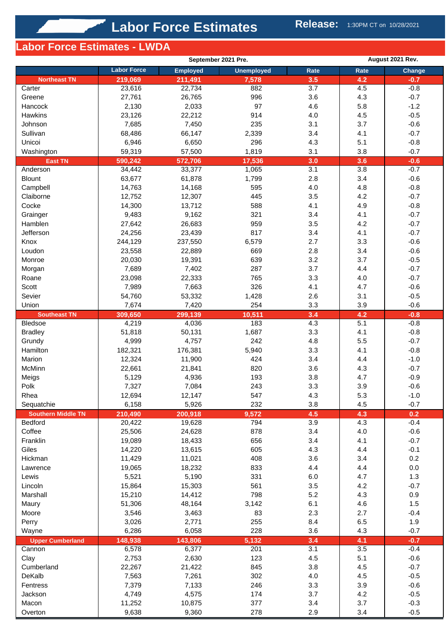## **Labor Force Estimates - LWDA**

|                           |                    | September 2021 Pre. |                   |            | August 2021 Rev. |               |  |  |
|---------------------------|--------------------|---------------------|-------------------|------------|------------------|---------------|--|--|
|                           | <b>Labor Force</b> | <b>Employed</b>     | <b>Unemployed</b> | Rate       | Rate             | Change        |  |  |
| <b>Northeast TN</b>       | 219,069            | 211,491             | 7,578             | 3.5        | 4.2              | $-0.7$        |  |  |
| Carter                    | 23,616             | 22,734              | 882               | 3.7        | 4.5              | $-0.8$        |  |  |
| Greene                    | 27,761             | 26,765              | 996               | 3.6        | 4.3              | $-0.7$        |  |  |
| Hancock                   | 2,130              | 2,033               | 97                | 4.6        | 5.8              | $-1.2$        |  |  |
| Hawkins                   | 23,126             | 22,212              | 914               | 4.0        | 4.5              | $-0.5$        |  |  |
| Johnson                   | 7,685              | 7,450               | 235               | 3.1        | 3.7              | $-0.6$        |  |  |
| Sullivan                  | 68,486             | 66,147              | 2,339             | 3.4        | 4.1              | $-0.7$        |  |  |
| Unicoi                    | 6,946              | 6,650               | 296               | 4.3        | 5.1              | $-0.8$        |  |  |
| Washington                | 59,319             | 57,500              | 1,819             | 3.1        | 3.8              | $-0.7$        |  |  |
| <b>East TN</b>            | 590,242            | 572,706             | 17,536            | 3.0        | 3.6              | $-0.6$        |  |  |
| Anderson                  | 34,442             | 33,377              | 1,065             | 3.1        | 3.8              | $-0.7$        |  |  |
| <b>Blount</b>             | 63,677             | 61,878              | 1,799             | 2.8        | 3.4              | $-0.6$        |  |  |
| Campbell                  | 14,763             | 14,168              | 595               | 4.0        | 4.8              | $-0.8$        |  |  |
| Claiborne                 | 12,752             | 12,307              | 445               | 3.5        | 4.2              | $-0.7$        |  |  |
| Cocke                     | 14,300             | 13,712              | 588               | 4.1        | 4.9              | $-0.8$        |  |  |
| Grainger                  | 9,483              | 9,162               | 321               | 3.4        | 4.1              | $-0.7$        |  |  |
| Hamblen                   | 27,642             | 26,683              | 959               | 3.5        | 4.2              | $-0.7$        |  |  |
| Jefferson                 | 24,256             | 23,439              | 817               | 3.4        | 4.1              | $-0.7$        |  |  |
| Knox                      | 244,129            | 237,550             | 6,579             | 2.7        | 3.3              | $-0.6$        |  |  |
| Loudon                    | 23,558             | 22,889              | 669               | 2.8        | 3.4              | $-0.6$        |  |  |
| Monroe                    | 20,030             | 19,391              | 639               | 3.2        | 3.7              | $-0.5$        |  |  |
| Morgan                    | 7,689              | 7,402               | 287               | 3.7        | 4.4              | $-0.7$        |  |  |
| Roane                     | 23,098             | 22,333              | 765               | 3.3        | 4.0              | $-0.7$        |  |  |
| Scott                     | 7,989              | 7,663               | 326               | 4.1        | 4.7              | $-0.6$        |  |  |
| Sevier                    | 54,760             | 53,332              | 1,428             | 2.6        | 3.1              | $-0.5$        |  |  |
| Union                     | 7,674              | 7,420               | 254               | 3.3        | 3.9              | $-0.6$        |  |  |
| <b>Southeast TN</b>       | 309,650            | 299,139             | 10,511            | 3.4        | 4.2              | $-0.8$        |  |  |
| <b>Bledsoe</b>            | 4,219              | 4,036               | 183               | 4.3        | 5.1              | $-0.8$        |  |  |
| <b>Bradley</b>            | 51,818             | 50,131              | 1,687             | 3.3        | 4.1              | $-0.8$        |  |  |
| Grundy                    | 4,999              | 4,757               | 242               | 4.8        | 5.5              | $-0.7$        |  |  |
| Hamilton                  | 182,321            | 176,381             | 5,940             | 3.3        | 4.1              | $-0.8$        |  |  |
| Marion                    | 12,324             | 11,900              | 424               | 3.4        | 4.4              | $-1.0$        |  |  |
| McMinn                    | 22,661             | 21,841              | 820               | 3.6        | 4.3              | $-0.7$        |  |  |
| Meigs                     | 5,129              | 4,936               | 193               | 3.8        | 4.7              | $-0.9$        |  |  |
| Polk                      | 7,327              | 7,084               | 243               | 3.3        | 3.9              | $-0.6$        |  |  |
| Rhea                      | 12,694             | 12,147              | 547               | 4.3        | 5.3              | $-1.0$        |  |  |
| Sequatchie                | 6,158              | 5,926               | 232               | 3.8        | 4.5              | $-0.7$        |  |  |
| <b>Southern Middle TN</b> | 210,490            | 200,918             | 9,572             | 4.5        | 4.3              | 0.2           |  |  |
| Bedford                   | 20,422             | 19,628              | 794               | 3.9        | 4.3              | $-0.4$        |  |  |
| Coffee                    | 25,506             | 24,628              | 878               | 3.4        | 4.0              | $-0.6$        |  |  |
| Franklin                  | 19,089             | 18,433              | 656               | 3.4        | 4.1              | $-0.7$        |  |  |
| Giles                     | 14,220             | 13,615              | 605               | 4.3        | 4.4              | $-0.1$        |  |  |
| Hickman                   | 11,429             | 11,021              | 408               | 3.6        | 3.4              | 0.2           |  |  |
| Lawrence                  | 19,065             | 18,232              | 833               | 4.4        | 4.4              | 0.0           |  |  |
| Lewis                     | 5,521              | 5,190               | 331               | 6.0        | 4.7              | 1.3           |  |  |
| Lincoln                   | 15,864             | 15,303              | 561               | 3.5        | 4.2              | $-0.7$        |  |  |
| Marshall                  | 15,210             | 14,412              | 798               | 5.2        | 4.3              | 0.9           |  |  |
| Maury                     | 51,306             | 48,164              | 3,142             | 6.1        | 4.6              | 1.5           |  |  |
| Moore                     | 3,546              | 3,463               | 83                | 2.3        | 2.7              | $-0.4$        |  |  |
|                           |                    |                     | 255               |            |                  |               |  |  |
| Perry                     | 3,026<br>6,286     | 2,771<br>6,058      | 228               | 8.4<br>3.6 | 6.5<br>4.3       | 1.9<br>$-0.7$ |  |  |
| Wayne                     |                    |                     |                   |            |                  |               |  |  |
| <b>Upper Cumberland</b>   | 148,938            | 143,806             | 5,132             | 3.4        | 4.1              | $-0.7$        |  |  |
| Cannon                    | 6,578              | 6,377               | 201               | 3.1        | 3.5              | $-0.4$        |  |  |
| Clay                      | 2,753              | 2,630               | 123               | 4.5        | 5.1              | $-0.6$        |  |  |
| Cumberland                | 22,267             | 21,422              | 845               | 3.8        | 4.5              | $-0.7$        |  |  |
| DeKalb                    | 7,563              | 7,261               | 302               | 4.0        | 4.5              | $-0.5$        |  |  |
| Fentress                  | 7,379              | 7,133               | 246               | 3.3        | 3.9              | $-0.6$        |  |  |
| Jackson                   | 4,749              | 4,575               | 174               | 3.7        | 4.2              | $-0.5$        |  |  |
| Macon                     | 11,252             | 10,875              | 377               | 3.4        | 3.7              | $-0.3$        |  |  |
| Overton                   | 9,638              | 9,360               | 278               | 2.9        | 3.4              | $-0.5$        |  |  |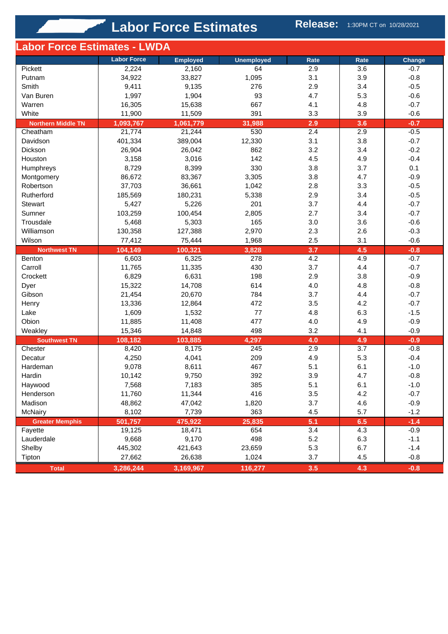| Labor Force Estimates - LWDA  |                    |                  |                   |            |            |                  |
|-------------------------------|--------------------|------------------|-------------------|------------|------------|------------------|
|                               | <b>Labor Force</b> | <b>Employed</b>  | <b>Unemployed</b> | Rate       | Rate       | Change           |
| Pickett                       | 2,224              | 2,160            | 64                | 2.9        | 3.6        | $-0.7$           |
| Putnam                        | 34,922             | 33,827           | 1,095             | 3.1        | 3.9        | $-0.8$           |
| Smith                         | 9,411              | 9,135            | 276               | 2.9        | 3.4        | $-0.5$           |
| Van Buren                     | 1,997              | 1,904            | 93                | 4.7        | 5.3        | $-0.6$           |
| Warren                        | 16,305             | 15,638           | 667               | 4.1        | 4.8        | $-0.7$           |
| White                         | 11,900             | 11,509           | 391               | 3.3        | 3.9        | $-0.6$           |
| <b>Northern Middle TN</b>     | 1,093,767          | 1,061,779        | 31,988            | 2.9        | 3.6        | $-0.7$           |
| Cheatham                      | 21,774             | 21,244           | 530               | 2.4        | 2.9        | $-0.5$           |
| Davidson                      | 401,334            | 389,004          | 12,330            | 3.1        | 3.8        | $-0.7$           |
| Dickson                       | 26,904             | 26,042           | 862               | 3.2        | 3.4        | $-0.2$           |
| Houston                       | 3,158              | 3,016            | 142               | 4.5        | 4.9        | $-0.4$           |
| Humphreys                     | 8,729              | 8,399            | 330               | 3.8        | 3.7        | 0.1              |
| Montgomery                    | 86,672             | 83,367           | 3,305             | 3.8        | 4.7        | $-0.9$           |
| Robertson                     | 37,703             | 36,661           | 1,042             | 2.8        | 3.3        | $-0.5$           |
| Rutherford                    | 185,569            | 180,231          | 5,338             | 2.9        | 3.4        | $-0.5$           |
| Stewart                       | 5,427              | 5,226            | 201               | 3.7        | 4.4        | $-0.7$           |
| Sumner                        | 103,259            | 100,454          | 2,805             | 2.7        | 3.4        | $-0.7$           |
| Trousdale                     | 5,468              | 5,303            | 165               | 3.0        | 3.6        | $-0.6$           |
|                               | 130,358            | 127,388          |                   | 2.3        |            | $-0.3$           |
| Williamson                    |                    |                  | 2,970             | 2.5        | 2.6        | $-0.6$           |
| Wilson                        | 77,412             | 75,444           | 1,968             |            | 3.1        |                  |
| <b>Northwest TN</b><br>Benton | 104,149<br>6,603   | 100,321<br>6,325 | 3,828<br>278      | 3.7<br>4.2 | 4.5<br>4.9 | $-0.8$<br>$-0.7$ |
| Carroll                       | 11,765             | 11,335           | 430               | 3.7        | 4.4        | $-0.7$           |
| Crockett                      | 6,829              | 6,631            | 198               | 2.9        | 3.8        | $-0.9$           |
|                               | 15,322             |                  | 614               | 4.0        | 4.8        | $-0.8$           |
| Dyer                          |                    | 14,708           | 784               |            |            | $-0.7$           |
| Gibson                        | 21,454             | 20,670           |                   | 3.7        | 4.4        |                  |
| Henry                         | 13,336             | 12,864           | 472               | 3.5        | 4.2        | $-0.7$           |
| Lake                          | 1,609              | 1,532            | 77                | 4.8        | 6.3        | $-1.5$           |
| Obion                         | 11,885             | 11,408           | 477               | 4.0        | 4.9        | $-0.9$           |
| Weakley                       | 15,346             | 14,848           | 498               | 3.2        | 4.1        | $-0.9$           |
| <b>Southwest TN</b>           | 108,182            | 103,885          | 4,297             | 4.0        | 4.9        | $-0.9$           |
| Chester                       | 8,420              | 8,175            | 245               | 2.9        | 3.7        | $-0.8$           |
| Decatur                       | 4,250              | 4,041            | 209               | 4.9        | 5.3        | $-0.4$           |
| Hardeman                      | 9,078              | 8,611            | 467               | 5.1        | 6.1        | $-1.0$           |
| Hardin                        | 10,142             | 9,750            | 392               | 3.9        | 4.7        | $-0.8$           |
| Haywood                       | 7,568              | 7,183            | 385               | 5.1        | 6.1        | $-1.0$           |
| Henderson                     | 11,760             | 11,344           | 416               | 3.5        | 4.2        | $-0.7$           |
| Madison                       | 48,862             | 47,042           | 1,820             | 3.7        | 4.6        | $-0.9$           |
| <b>McNairy</b>                | 8,102              | 7,739            | 363               | 4.5        | 5.7        | $-1.2$           |
| <b>Greater Memphis</b>        | 501,757            | 475,922          | 25,835            | 5.1        | 6.5        | $-1.4$           |
| Fayette                       | 19,125             | 18,471           | 654               | 3.4        | 4.3        | $-0.9$           |
| Lauderdale                    | 9,668              | 9,170            | 498               | 5.2        | 6.3        | $-1.1$           |
| Shelby                        | 445,302            | 421,643          | 23,659            | 5.3        | 6.7        | $-1.4$           |
| Tipton                        | 27,662             | 26,638           | 1,024             | 3.7        | 4.5        | $-0.8$           |
| <b>Total</b>                  | 3,286,244          | 3,169,967        | 116,277           | 3.5        | 4.3        | $-0.8$           |